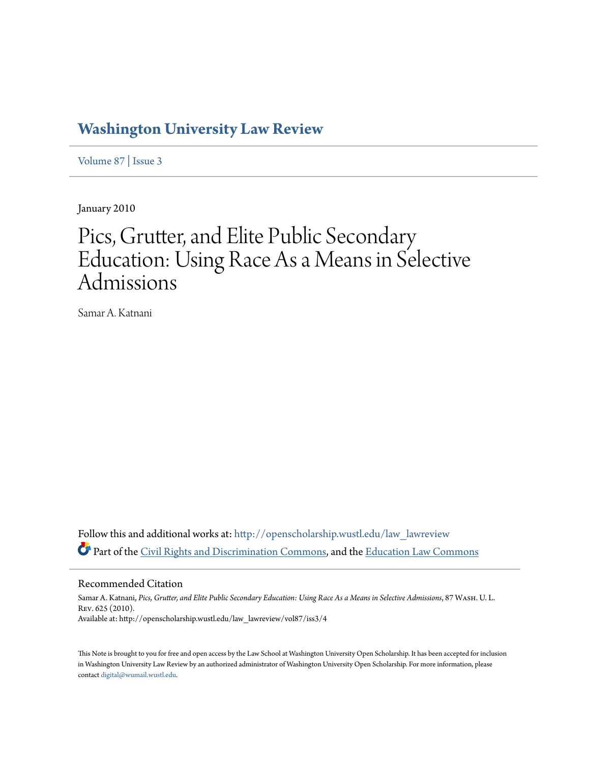# **[Washington University Law Review](http://openscholarship.wustl.edu/law_lawreview?utm_source=openscholarship.wustl.edu%2Flaw_lawreview%2Fvol87%2Fiss3%2F4&utm_medium=PDF&utm_campaign=PDFCoverPages)**

[Volume 87](http://openscholarship.wustl.edu/law_lawreview/vol87?utm_source=openscholarship.wustl.edu%2Flaw_lawreview%2Fvol87%2Fiss3%2F4&utm_medium=PDF&utm_campaign=PDFCoverPages) | [Issue 3](http://openscholarship.wustl.edu/law_lawreview/vol87/iss3?utm_source=openscholarship.wustl.edu%2Flaw_lawreview%2Fvol87%2Fiss3%2F4&utm_medium=PDF&utm_campaign=PDFCoverPages)

January 2010

# Pics, Grutter, and Elite Public Secondary Education: Using Race As a Means in Selective Admissions

Samar A. Katnani

Follow this and additional works at: [http://openscholarship.wustl.edu/law\\_lawreview](http://openscholarship.wustl.edu/law_lawreview?utm_source=openscholarship.wustl.edu%2Flaw_lawreview%2Fvol87%2Fiss3%2F4&utm_medium=PDF&utm_campaign=PDFCoverPages) Part of the [Civil Rights and Discrimination Commons,](http://network.bepress.com/hgg/discipline/585?utm_source=openscholarship.wustl.edu%2Flaw_lawreview%2Fvol87%2Fiss3%2F4&utm_medium=PDF&utm_campaign=PDFCoverPages) and the [Education Law Commons](http://network.bepress.com/hgg/discipline/596?utm_source=openscholarship.wustl.edu%2Flaw_lawreview%2Fvol87%2Fiss3%2F4&utm_medium=PDF&utm_campaign=PDFCoverPages)

Recommended Citation

Samar A. Katnani, *Pics, Grutter, and Elite Public Secondary Education: Using Race As a Means in Selective Admissions*, 87 Wash. U. L. Rev. 625 (2010). Available at: http://openscholarship.wustl.edu/law\_lawreview/vol87/iss3/4

This Note is brought to you for free and open access by the Law School at Washington University Open Scholarship. It has been accepted for inclusion in Washington University Law Review by an authorized administrator of Washington University Open Scholarship. For more information, please contact [digital@wumail.wustl.edu.](mailto:digital@wumail.wustl.edu)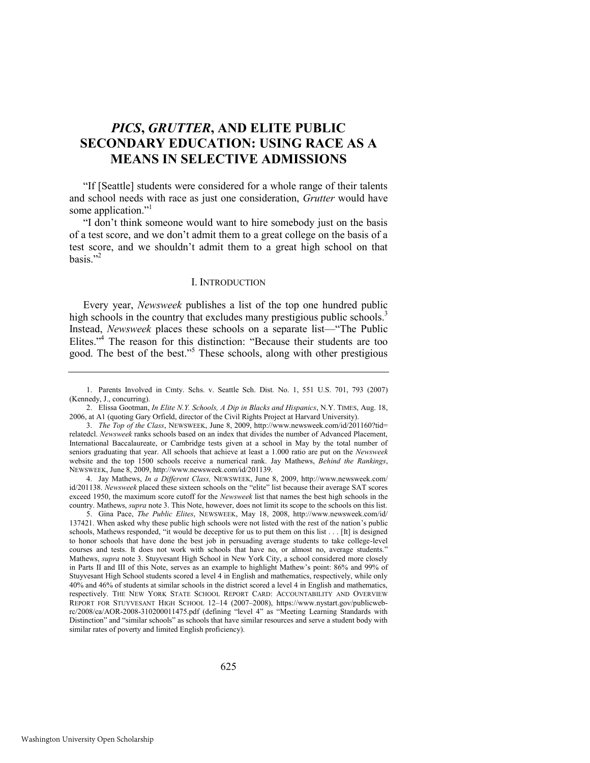# *PICS***,** *GRUTTER***, AND ELITE PUBLIC SECONDARY EDUCATION: USING RACE AS A MEANS IN SELECTIVE ADMISSIONS**

"If [Seattle] students were considered for a whole range of their talents and school needs with race as just one consideration, *Grutter* would have some application."

<span id="page-1-1"></span>"I don't think someone would want to hire somebody just on the basis of a test score, and we don't admit them to a great college on the basis of a test score, and we shouldn't admit them to a great high school on that basis." $2^2$ 

# <span id="page-1-2"></span><span id="page-1-0"></span>I. INTRODUCTION

Every year, *Newsweek* publishes a list of the top one hundred public high schools in the country that excludes many prestigious public schools.<sup>3</sup> Instead, *Newsweek* places these schools on a separate list—"The Public Elites."<sup>4</sup> The reason for this distinction: "Because their students are too good. The best of the best."<sup>5</sup> These schools, along with other prestigious

4. Jay Mathews, *In a Different Class,* NEWSWEEK, June 8, 2009, http://www.newsweek.com/ id/201138. Newsweek placed these sixteen schools on the "elite" list because their average SAT scores exceed 1950, the maximum score cutoff for the *Newsweek* list that names the best high schools in the country. Mathews, *supra* note [3.](#page-1-0) This Note, however, does not limit its scope to the schools on this list.

5. Gina Pace, *The Public Elites*, NEWSWEEK, May 18, 2008,<http://www.newsweek.com/id/> 137421. When asked why these public high schools were not listed with the rest of the nation's public schools, Mathews responded, "it would be deceptive for us to put them on this list  $\dots$ . [It] is designed to honor schools that have done the best job in persuading average students to take college-level courses and tests. It does not work with schools that have no, or almost no, average students. Mathews, *supra* not[e 3.](#page-1-0) Stuyvesant High School in New York City, a school considered more closely in Parts II and III of this Note, serves as an example to highlight Mathew's point: 86% and 99% of Stuyvesant High School students scored a level 4 in English and mathematics, respectively, while only 40% and 46% of students at similar schools in the district scored a level 4 in English and mathematics, respectively. THE NEW YORK STATE SCHOOL REPORT CARD: ACCOUNTABILITY AND OVERVIEW REPORT FOR STUYVESANT HIGH SCHOOL 12–14 (2007–2008), https://www.nystart.gov/publicwebrc/2008/ca/AOR-2008-310200011475.pdf (defining "level 4" as "Meeting Learning Standards with Distinction" and "similar schools" as schools that have similar resources and serve a student body with similar rates of poverty and limited English proficiency).

<sup>1.</sup> Parents Involved in Cmty. Schs. v. Seattle Sch. Dist. No. 1, 551 U.S. 701, 793 (2007) (Kennedy, J., concurring).

<sup>2.</sup> Elissa Gootman, *In Elite N.Y. Schools, A Dip in Blacks and Hispanics*, N.Y. TIMES, Aug. 18, 2006, at A1 (quoting Gary Orfield, director of the Civil Rights Project at Harvard University).

<sup>3.</sup> *The Top of the Class*, NEWSWEEK, June 8, 2009, http://www.newsweek.com/id/201160?tid= relatedcl. *Newsweek* ranks schools based on an index that divides the number of Advanced Placement, International Baccalaureate, or Cambridge tests given at a school in May by the total number of seniors graduating that year. All schools that achieve at least a 1.000 ratio are put on the *Newsweek* website and the top 1500 schools receive a numerical rank. Jay Mathews, *Behind the Rankings*, NEWSWEEK, June 8, 2009, http://www.newsweek.com/id/201139.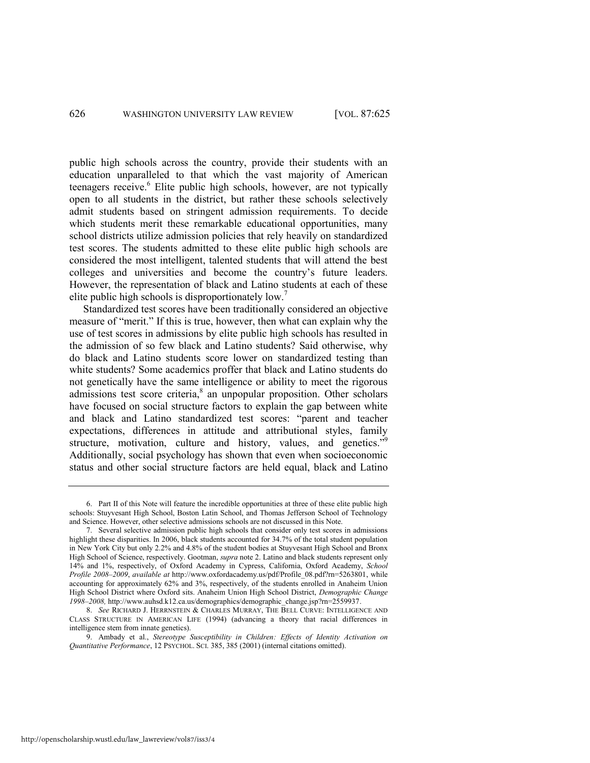public high schools across the country, provide their students with an education unparalleled to that which the vast majority of American teenagers receive.<sup>6</sup> Elite public high schools, however, are not typically open to all students in the district, but rather these schools selectively admit students based on stringent admission requirements. To decide which students merit these remarkable educational opportunities, many school districts utilize admission policies that rely heavily on standardized test scores. The students admitted to these elite public high schools are considered the most intelligent, talented students that will attend the best colleges and universities and become the country's future leaders. However, the representation of black and Latino students at each of these elite public high schools is disproportionately low.<sup>7</sup>

Standardized test scores have been traditionally considered an objective measure of "merit." If this is true, however, then what can explain why the use of test scores in admissions by elite public high schools has resulted in the admission of so few black and Latino students? Said otherwise, why do black and Latino students score lower on standardized testing than white students? Some academics proffer that black and Latino students do not genetically have the same intelligence or ability to meet the rigorous admissions test score criteria,<sup>8</sup> an unpopular proposition. Other scholars have focused on social structure factors to explain the gap between white and black and Latino standardized test scores: "parent and teacher expectations, differences in attitude and attributional styles, family structure, motivation, culture and history, values, and genetics."<sup>9</sup> Additionally, social psychology has shown that even when socioeconomic status and other social structure factors are held equal, black and Latino

8. *See* RICHARD J. HERRNSTEIN & CHARLES MURRAY, THE BELL CURVE: INTELLIGENCE AND CLASS STRUCTURE IN AMERICAN LIFE (1994) (advancing a theory that racial differences in intelligence stem from innate genetics).

<span id="page-2-0"></span><sup>6.</sup> Part II of this Note will feature the incredible opportunities at three of these elite public high schools: Stuyvesant High School, Boston Latin School, and Thomas Jefferson School of Technology and Science. However, other selective admissions schools are not discussed in this Note.

<sup>7.</sup> Several selective admission public high schools that consider only test scores in admissions highlight these disparities. In 2006, black students accounted for 34.7% of the total student population in New York City but only 2.2% and 4.8% of the student bodies at Stuyvesant High School and Bronx High School of Science, respectively. Gootman, *supra* not[e 2.](#page-1-1) Latino and black students represent only 14% and 1%, respectively, of Oxford Academy in Cypress, California, Oxford Academy, *School Profile 2008–2009*, *available at* [http://www.oxfordacademy.us/pdf/Profile\\_08.pdf?rn=5263801,](http://www.oxfordacademy.us/pdf/Profile_08.pdf?rn=5263801) while accounting for approximately 62% and 3%, respectively, of the students enrolled in Anaheim Union High School District where Oxford sits. Anaheim Union High School District, *Demographic Change 1998–2008,* http://www.auhsd.k12.ca.us/demographics/demographic\_change.jsp?rn=2559937.

<sup>9.</sup> Ambady et al., *Stereotype Susceptibility in Children: Effects of Identity Activation on Quantitative Performance*, 12 PSYCHOL. SCI. 385, 385 (2001) (internal citations omitted).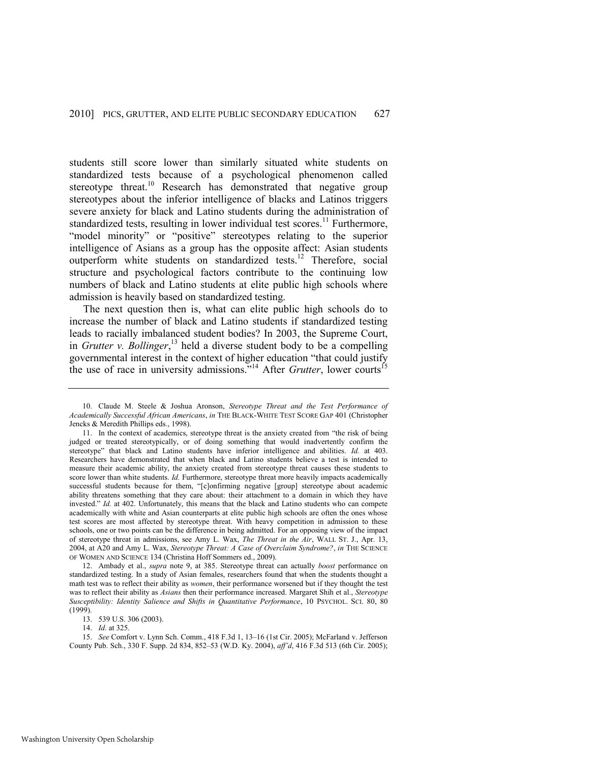students still score lower than similarly situated white students on standardized tests because of a psychological phenomenon called stereotype threat.<sup>10</sup> Research has demonstrated that negative group stereotypes about the inferior intelligence of blacks and Latinos triggers severe anxiety for black and Latino students during the administration of standardized tests, resulting in lower individual test scores.<sup>11</sup> Furthermore, "model minority" or "positive" stereotypes relating to the superior intelligence of Asians as a group has the opposite affect: Asian students outperform white students on standardized tests.<sup>12</sup> Therefore, social structure and psychological factors contribute to the continuing low numbers of black and Latino students at elite public high schools where admission is heavily based on standardized testing.

The next question then is, what can elite public high schools do to increase the number of black and Latino students if standardized testing leads to racially imbalanced student bodies? In 2003, the Supreme Court, in *Grutter v. Bollinger*, <sup>13</sup> held a diverse student body to be a compelling governmental interest in the context of higher education "that could justify the use of race in university admissions."<sup>14</sup> After *Grutter*, lower courts<sup>15</sup>

13. 539 U.S. 306 (2003).

<sup>10.</sup> Claude M. Steele & Joshua Aronson, *Stereotype Threat and the Test Performance of Academically Successful African Americans*, *in* THE BLACK-WHITE TEST SCORE GAP 401 (Christopher Jencks & Meredith Phillips eds., 1998).

<sup>11.</sup> In the context of academics, stereotype threat is the anxiety created from "the risk of being judged or treated stereotypically, or of doing something that would inadvertently confirm the stereotype" that black and Latino students have inferior intelligence and abilities. *Id.* at 403. Researchers have demonstrated that when black and Latino students believe a test is intended to measure their academic ability, the anxiety created from stereotype threat causes these students to score lower than white students. *Id.* Furthermore, stereotype threat more heavily impacts academically successful students because for them, "[c]onfirming negative [group] stereotype about academic ability threatens something that they care about: their attachment to a domain in which they have invested." *Id.* at 402. Unfortunately, this means that the black and Latino students who can compete academically with white and Asian counterparts at elite public high schools are often the ones whose test scores are most affected by stereotype threat. With heavy competition in admission to these schools, one or two points can be the difference in being admitted. For an opposing view of the impact of stereotype threat in admissions, see Amy L. Wax, *The Threat in the Air*, WALL ST. J., Apr. 13, 2004, at A20 and Amy L. Wax, *Stereotype Threat: A Case of Overclaim Syndrome?*, *in* THE SCIENCE OF WOMEN AND SCIENCE 134 (Christina Hoff Sommers ed., 2009).

<sup>12.</sup> Ambady et al., *supra* note [9,](#page-2-0) at 385. Stereotype threat can actually *boost* performance on standardized testing. In a study of Asian females, researchers found that when the students thought a math test was to reflect their ability as *women*, their performance worsened but if they thought the test was to reflect their ability as *Asians* then their performance increased. Margaret Shih et al., *Stereotype Susceptibility: Identity Salience and Shifts in Quantitative Performance*, 10 PSYCHOL. SCI. 80, 80 (1999).

<sup>14.</sup> *Id.* at 325.

<sup>15.</sup> *See* Comfort v. Lynn Sch. Comm., 418 F.3d 1, 13–16 (1st Cir. 2005); McFarland v. Jefferson County Pub. Sch., 330 F. Supp. 2d 834, 852–53 (W.D. Ky. 2004), *aff'd*, 416 F.3d 513 (6th Cir. 2005);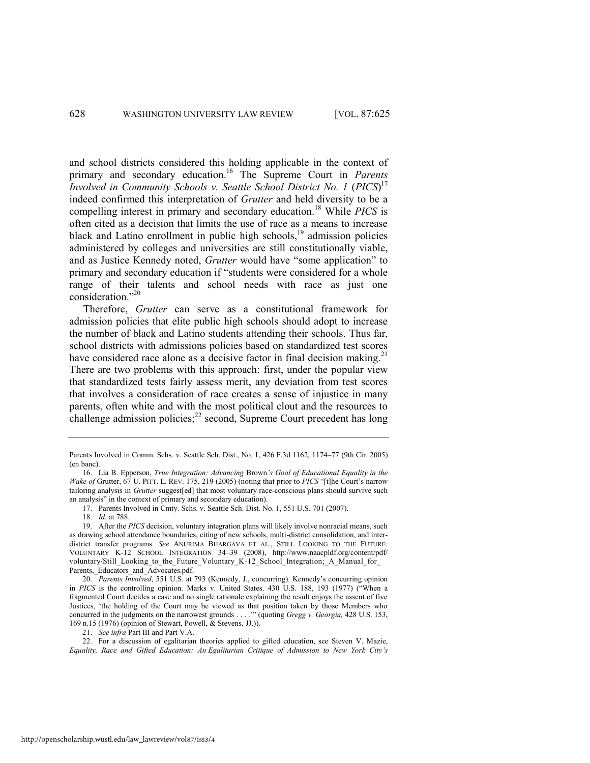<span id="page-4-2"></span><span id="page-4-1"></span>and school districts considered this holding applicable in the context of primary and secondary education.<sup>16</sup> The Supreme Court in *Parents Involved in Community Schools v. Seattle School District No. 1 (PICS)*<sup>17</sup> indeed confirmed this interpretation of *Grutter* and held diversity to be a compelling interest in primary and secondary education.<sup>18</sup> While *PICS* is often cited as a decision that limits the use of race as a means to increase black and Latino enrollment in public high schools, $19$  admission policies administered by colleges and universities are still constitutionally viable, and as Justice Kennedy noted, *Grutter* would have "some application" to primary and secondary education if "students were considered for a whole range of their talents and school needs with race as just one consideration."20

<span id="page-4-3"></span>Therefore, *Grutter* can serve as a constitutional framework for admission policies that elite public high schools should adopt to increase the number of black and Latino students attending their schools. Thus far, school districts with admissions policies based on standardized test scores have considered race alone as a decisive factor in final decision making.<sup>21</sup> There are two problems with this approach: first, under the popular view that standardized tests fairly assess merit, any deviation from test scores that involves a consideration of race creates a sense of injustice in many parents, often white and with the most political clout and the resources to challenge admission policies; $^{22}$  second, Supreme Court precedent has long

<span id="page-4-0"></span>Parents Involved in Comm. Schs. v. Seattle Sch. Dist., No. 1, 426 F.3d 1162, 1174–77 (9th Cir. 2005) (en banc).

<sup>16.</sup> Lia B. Epperson, *True Integration: Advancing* Brown*'s Goal of Educational Equality in the Wake of Grutter, 67 U. PITT. L. REV.* 175, 219 (2005) (noting that prior to *PICS* "[t]he Court's narrow tailoring analysis in *Grutter* suggest[ed] that most voluntary race-conscious plans should survive such an analysis" in the context of primary and secondary education).

<sup>17.</sup> Parents Involved in Cmty. Schs. v. Seattle Sch. Dist. No. 1, 551 U.S. 701 (2007).

<sup>18.</sup> *Id.* at 788.

<sup>19.</sup> After the *PICS* decision, voluntary integration plans will likely involve nonracial means, such as drawing school attendance boundaries, citing of new schools, multi-district consolidation, and interdistrict transfer programs. *See* ANURIMA BHARGAVA ET AL., STILL LOOKING TO THE FUTURE: VOLUNTARY K-12 SCHOOL INTEGRATION 34–39 (2008), http://www.naacpldf.org/content/pdf/ voluntary/Still\_Looking\_to\_the\_Future\_Voluntary\_K-12\_School\_Integration;\_A\_Manual\_for\_ Parents,\_Educators\_and\_Advocates.pdf.

<sup>20.</sup> *Parents Involved*, 551 U.S. at 793 (Kennedy, J., concurring). Kennedy's concurring opinion in *PICS* is the controlling opinion. Marks v. United States, 430 U.S. 188, 193 (1977) ("When a fragmented Court decides a case and no single rationale explaining the result enjoys the assent of five Justices, 'the holding of the Court may be viewed as that position taken by those Members who concurred in the judgments on the narrowest grounds . . . .<sup>'</sup>" (quoting *Gregg v. Georgia,* 428 U.S. 153, 169 n.15 (1976) (opinion of Stewart, Powell, & Stevens, JJ.)).

<sup>21.</sup> *See infra* Part III and Part V.A.

<sup>22.</sup> For a discussion of egalitarian theories applied to gifted education, see Steven V. Mazie, *Equality, Race and Gifted Education: An Egalitarian Critique of Admission to New York City's*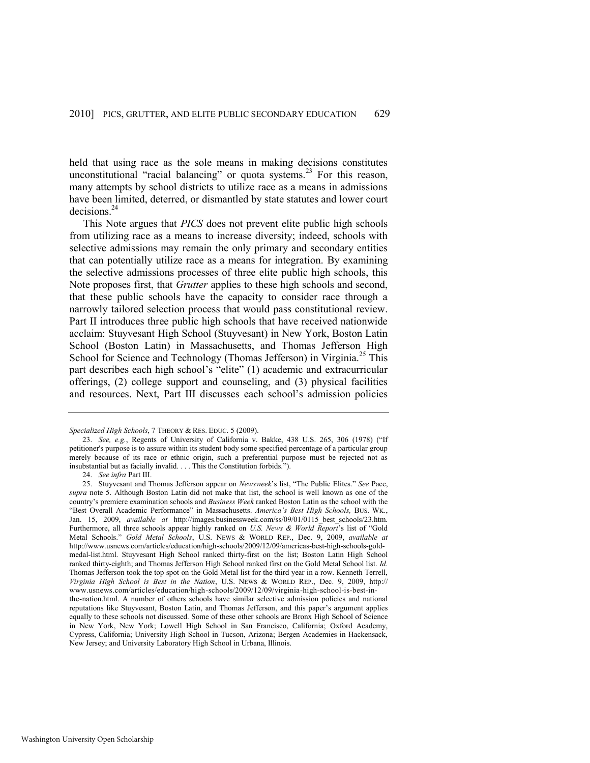held that using race as the sole means in making decisions constitutes unconstitutional "racial balancing" or quota systems.<sup>23</sup> For this reason, many attempts by school districts to utilize race as a means in admissions have been limited, deterred, or dismantled by state statutes and lower court decisions.<sup>24</sup>

This Note argues that *PICS* does not prevent elite public high schools from utilizing race as a means to increase diversity; indeed, schools with selective admissions may remain the only primary and secondary entities that can potentially utilize race as a means for integration. By examining the selective admissions processes of three elite public high schools, this Note proposes first, that *Grutter* applies to these high schools and second, that these public schools have the capacity to consider race through a narrowly tailored selection process that would pass constitutional review. Part II introduces three public high schools that have received nationwide acclaim: Stuyvesant High School (Stuyvesant) in New York, Boston Latin School (Boston Latin) in Massachusetts, and Thomas Jefferson High School for Science and Technology (Thomas Jefferson) in Virginia.<sup>25</sup> This part describes each high school's "elite" (1) academic and extracurricular offerings, (2) college support and counseling, and (3) physical facilities and resources. Next, Part III discusses each school's admission policies

<span id="page-5-0"></span>*Specialized High Schools*, 7 THEORY & RES. EDUC. 5 (2009).

<sup>23.</sup> *See, e.g.*, Regents of University of California v. Bakke, 438 U.S. 265, 306 (1978) ("If petitioner's purpose is to assure within its student body some specified percentage of a particular group merely because of its race or ethnic origin, such a preferential purpose must be rejected not as insubstantial but as facially invalid. . . . This the Constitution forbids.").

<sup>24.</sup> *See infra* Part III.

<sup>25.</sup> Stuyvesant and Thomas Jefferson appear on *Newsweek*'s list, "The Public Elites." See Pace, *supra* note [5.](#page-1-2) Although Boston Latin did not make that list, the school is well known as one of the country's premiere examination schools and *Business Week* ranked Boston Latin as the school with the ―Best Overall Academic Performance‖ in Massachusetts. *America's Best High Schools,* BUS. WK., Jan. 15, 2009, *available at* http://images.businessweek.com/ss/09/01/0115\_best\_schools/23.htm. Furthermore, all three schools appear highly ranked on *U.S. News & World Report's* list of "Gold Metal Schools.‖ *Gold Metal Schools*, U.S. NEWS & WORLD REP., Dec. 9, 2009, *available at* http://www.usnews.com/articles/education/high-schools/2009/12/09/americas-best-high-schools-goldmedal-list.html. Stuyvesant High School ranked thirty-first on the list; Boston Latin High School ranked thirty-eighth; and Thomas Jefferson High School ranked first on the Gold Metal School list. *Id.* Thomas Jefferson took the top spot on the Gold Metal list for the third year in a row. Kenneth Terrell, *Virginia High School is Best in the Nation*, U.S. NEWS & WORLD REP., Dec. 9, 2009, http:// www.usnews.com/articles/education/high-schools/2009/12/09/virginia-high-school-is-best-inthe-nation.html. A number of others schools have similar selective admission policies and national reputations like Stuyvesant, Boston Latin, and Thomas Jefferson, and this paper's argument applies equally to these schools not discussed. Some of these other schools are Bronx High School of Science in New York, New York; Lowell High School in San Francisco, California; Oxford Academy, Cypress, California; University High School in Tucson, Arizona; Bergen Academies in Hackensack, New Jersey; and University Laboratory High School in Urbana, Illinois.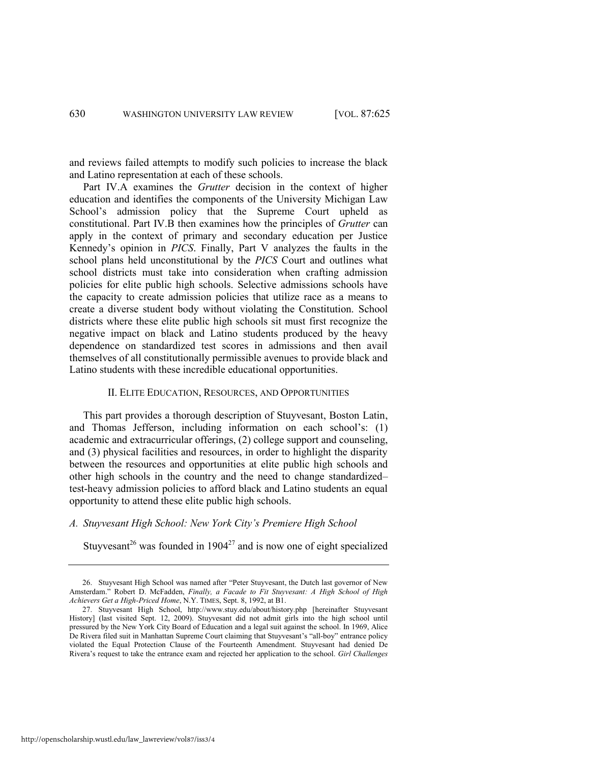and reviews failed attempts to modify such policies to increase the black and Latino representation at each of these schools.

Part IV.A examines the *Grutter* decision in the context of higher education and identifies the components of the University Michigan Law School's admission policy that the Supreme Court upheld as constitutional. Part IV.B then examines how the principles of *Grutter* can apply in the context of primary and secondary education per Justice Kennedy's opinion in *PICS*. Finally, Part V analyzes the faults in the school plans held unconstitutional by the *PICS* Court and outlines what school districts must take into consideration when crafting admission policies for elite public high schools. Selective admissions schools have the capacity to create admission policies that utilize race as a means to create a diverse student body without violating the Constitution. School districts where these elite public high schools sit must first recognize the negative impact on black and Latino students produced by the heavy dependence on standardized test scores in admissions and then avail themselves of all constitutionally permissible avenues to provide black and Latino students with these incredible educational opportunities.

# II. ELITE EDUCATION, RESOURCES, AND OPPORTUNITIES

This part provides a thorough description of Stuyvesant, Boston Latin, and Thomas Jefferson, including information on each school's: (1) academic and extracurricular offerings, (2) college support and counseling, and (3) physical facilities and resources, in order to highlight the disparity between the resources and opportunities at elite public high schools and other high schools in the country and the need to change standardized– test-heavy admission policies to afford black and Latino students an equal opportunity to attend these elite public high schools.

# *A. Stuyvesant High School: New York City's Premiere High School*

<span id="page-6-1"></span><span id="page-6-0"></span>Stuyvesant<sup>26</sup> was founded in  $1904^{27}$  and is now one of eight specialized

<sup>26.</sup> Stuyvesant High School was named after "Peter Stuyvesant, the Dutch last governor of New Amsterdam.‖ Robert D. McFadden, *Finally, a Facade to Fit Stuyvesant: A High School of High Achievers Get a High-Priced Home*, N.Y. TIMES, Sept. 8, 1992, at B1.

<sup>27.</sup> Stuyvesant High School, http://www.stuy.edu/about/history.php [hereinafter Stuyvesant History] (last visited Sept. 12, 2009). Stuyvesant did not admit girls into the high school until pressured by the New York City Board of Education and a legal suit against the school. In 1969, Alice De Rivera filed suit in Manhattan Supreme Court claiming that Stuyvesant's "all-boy" entrance policy violated the Equal Protection Clause of the Fourteenth Amendment. Stuyvesant had denied De Rivera's request to take the entrance exam and rejected her application to the school. *Girl Challenges*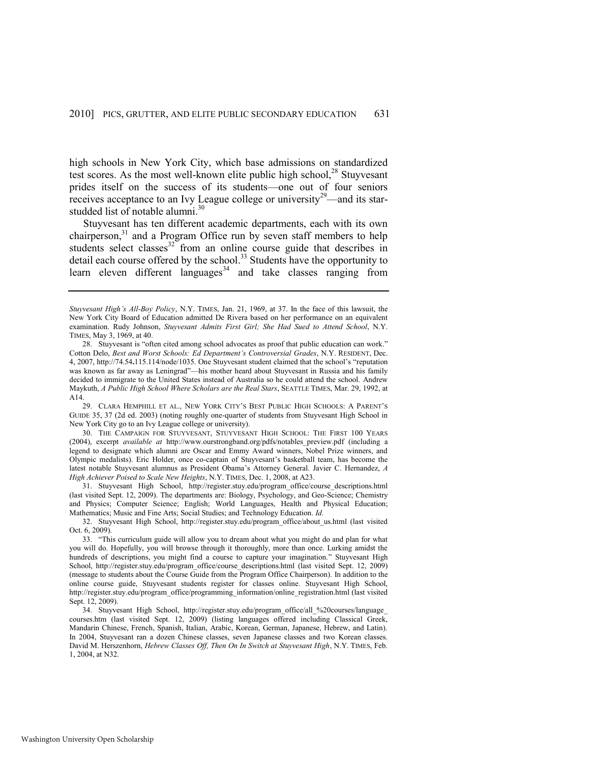<span id="page-7-1"></span>high schools in New York City, which base admissions on standardized test scores. As the most well-known elite public high school, $^{28}$  Stuyvesant prides itself on the success of its students—one out of four seniors receives acceptance to an Ivy League college or university<sup>29</sup>—and its starstudded list of notable alumni.<sup>30</sup>

<span id="page-7-0"></span>Stuyvesant has ten different academic departments, each with its own chairperson, $31$  and a Program Office run by seven staff members to help students select classes<sup>32</sup> from an online course guide that describes in detail each course offered by the school.<sup>33</sup> Students have the opportunity to learn eleven different languages<sup>34</sup> and take classes ranging from

29. CLARA HEMPHILL ET AL., NEW YORK CITY'S BEST PUBLIC HIGH SCHOOLS: A PARENT'S GUIDE 35, 37 (2d ed. 2003) (noting roughly one-quarter of students from Stuyvesant High School in New York City go to an Ivy League college or university).

31. Stuyvesant High School, http://register.stuy.edu/program\_office/course\_descriptions.html (last visited Sept. 12, 2009). The departments are: Biology, Psychology, and Geo-Science; Chemistry and Physics; Computer Science; English; World Languages, Health and Physical Education; Mathematics; Music and Fine Arts; Social Studies; and Technology Education. *Id.*

32. Stuyvesant High School, http://register.stuy.edu/program\_office/about\_us.html (last visited Oct. 6, 2009).

*Stuyvesant High's All-Boy Policy*, N.Y. TIMES, Jan. 21, 1969, at 37. In the face of this lawsuit, the New York City Board of Education admitted De Rivera based on her performance on an equivalent examination. Rudy Johnson, *Stuyvesant Admits First Girl; She Had Sued to Attend School*, N.Y. TIMES, May 3, 1969, at 40.

<sup>28.</sup> Stuyvesant is "often cited among school advocates as proof that public education can work." Cotton Delo, *Best and Worst Schools: Ed Department's Controversial Grades*, N.Y. RESIDENT, Dec. 4, 2007, http://74.54**.**115.114/node/1035. One Stuyvesant student claimed that the school's "reputation" was known as far away as Leningrad"—his mother heard about Stuyvesant in Russia and his family decided to immigrate to the United States instead of Australia so he could attend the school. Andrew Maykuth, *A Public High School Where Scholars are the Real Stars*, SEATTLE TIMES, Mar. 29, 1992, at A14.

<sup>30.</sup> THE CAMPAIGN FOR STUYVESANT, STUYVESANT HIGH SCHOOL: THE FIRST 100 YEARS (2004), excerpt *available at* http://www.ourstrongband.org/pdfs/notables\_preview.pdf (including a legend to designate which alumni are Oscar and Emmy Award winners, Nobel Prize winners, and Olympic medalists). Eric Holder, once co-captain of Stuyvesant's basketball team, has become the latest notable Stuyvesant alumnus as President Obama's Attorney General. Javier C. Hernandez, *A High Achiever Poised to Scale New Heights*, N.Y. TIMES, Dec. 1, 2008, at A23.

<sup>33. &</sup>quot;This curriculum guide will allow you to dream about what you might do and plan for what you will do. Hopefully, you will browse through it thoroughly, more than once. Lurking amidst the hundreds of descriptions, you might find a course to capture your imagination." Stuyvesant High School, http://register.stuy.edu/program\_office/course\_descriptions.html (last visited Sept. 12, 2009) (message to students about the Course Guide from the Program Office Chairperson). In addition to the online course guide, Stuyvesant students register for classes online. Stuyvesant High School, http://register.stuy.edu/program\_office/programming\_information/online\_registration.html (last visited Sept. 12, 2009).

<sup>34.</sup> Stuyvesant High School, http://register.stuy.edu/program\_office/all\_%20courses/language\_ courses.htm (last visited Sept. 12, 2009) (listing languages offered including Classical Greek, Mandarin Chinese, French, Spanish, Italian, Arabic, Korean, German, Japanese, Hebrew, and Latin). In 2004, Stuyvesant ran a dozen Chinese classes, seven Japanese classes and two Korean classes. David M. Herszenhorn, *Hebrew Classes Off, Then On In Switch at Stuyvesant High*, N.Y. TIMES, Feb. 1, 2004, at N32.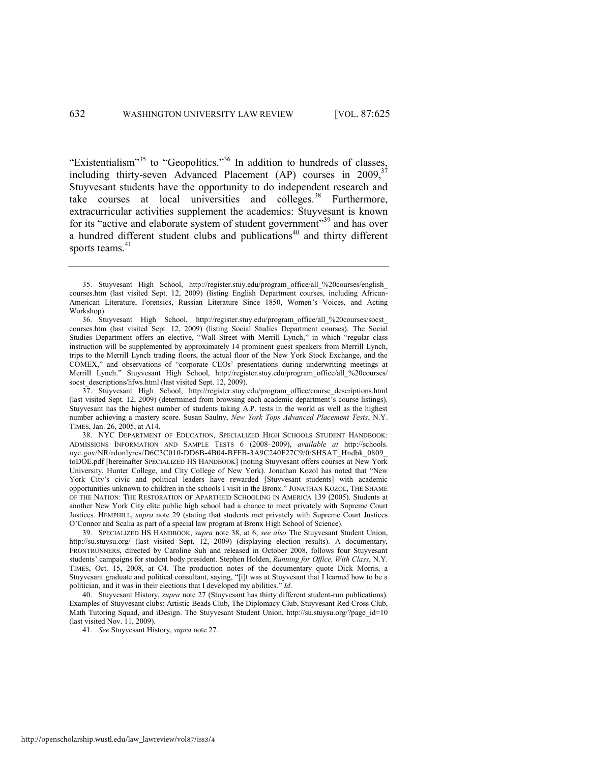<span id="page-8-0"></span>"Existentialism"<sup>35</sup> to "Geopolitics."<sup>36</sup> In addition to hundreds of classes, including thirty-seven Advanced Placement (AP) courses in  $2009$ ,<sup>37</sup> Stuyvesant students have the opportunity to do independent research and take courses at local universities and colleges. $38$  Furthermore, extracurricular activities supplement the academics: Stuyvesant is known for its "active and elaborate system of student government"<sup>39</sup> and has over a hundred different student clubs and publications<sup>40</sup> and thirty different sports teams. $41$ 

<sup>35.</sup> Stuyvesant High School, http://register.stuy.edu/program\_office/all\_%20courses/english\_ courses.htm (last visited Sept. 12, 2009) (listing English Department courses, including African-American Literature, Forensics, Russian Literature Since 1850, Women's Voices, and Acting Workshop).

<sup>36.</sup> Stuyvesant High School, http://register.stuy.edu/program\_office/all\_%20courses/socst\_ courses.htm (last visited Sept. 12, 2009) (listing Social Studies Department courses). The Social Studies Department offers an elective, "Wall Street with Merrill Lynch," in which "regular class instruction will be supplemented by approximately 14 prominent guest speakers from Merrill Lynch, trips to the Merrill Lynch trading floors, the actual floor of the New York Stock Exchange, and the COMEX," and observations of "corporate CEOs' presentations during underwriting meetings at Merrill Lynch." Stuyvesant High School, http://register.stuy.edu/program\_office/all\_%20courses/ socst descriptions/hfws.html (last visited Sept. 12, 2009).

<sup>37.</sup> Stuyvesant High School, http://register.stuy.edu/program\_office/course\_descriptions.html (last visited Sept. 12, 2009) (determined from browsing each academic department's course listings). Stuyvesant has the highest number of students taking A.P. tests in the world as well as the highest number achieving a mastery score. Susan Saulny, *New York Tops Advanced Placement Tests*, N.Y. TIMES, Jan. 26, 2005, at A14.

<sup>38.</sup> NYC DEPARTMENT OF EDUCATION, SPECIALIZED HIGH SCHOOLS STUDENT HANDBOOK: ADMISSIONS INFORMATION AND SAMPLE TESTS 6 (2008–2009), *available at* http://schools. nyc.gov/NR/rdonlyres/D6C3C010-DD6B-4B04-BFFB-3A9C240F27C9/0/SHSAT\_Hndbk\_0809\_ toDOE.pdf [hereinafter SPECIALIZED HS HANDBOOK] (noting Stuyvesant offers courses at New York University, Hunter College, and City College of New York). Jonathan Kozol has noted that "New York City's civic and political leaders have rewarded [Stuyvesant students] with academic opportunities unknown to children in the schools I visit in the Bronx.‖ JONATHAN KOZOL, THE SHAME OF THE NATION: THE RESTORATION OF APARTHEID SCHOOLING IN AMERICA 139 (2005). Students at another New York City elite public high school had a chance to meet privately with Supreme Court Justices. HEMPHILL, *supra* note [29](#page-7-0) (stating that students met privately with Supreme Court Justices O'Connor and Scalia as part of a special law program at Bronx High School of Science).

<sup>39.</sup> SPECIALIZED HS HANDBOOK, *supra* note [38,](#page-8-0) at 6; *see also* The Stuyvesant Student Union, http://su.stuysu.org/ (last visited Sept. 12, 2009) (displaying election results). A documentary, FRONTRUNNERS, directed by Caroline Suh and released in October 2008, follows four Stuyvesant students' campaigns for student body president. Stephen Holden, *Running for Office, With Class*, N.Y. TIMES, Oct. 15, 2008, at C4. The production notes of the documentary quote Dick Morris, a Stuyvesant graduate and political consultant, saying, "[i]t was at Stuyvesant that I learned how to be a politician, and it was in their elections that I developed my abilities." *Id*.

<sup>40.</sup> Stuyvesant History, *supra* not[e 27](#page-6-0) (Stuyvesant has thirty different student-run publications). Examples of Stuyvesant clubs: Artistic Beads Club, The Diplomacy Club, Stuyvesant Red Cross Club, Math Tutoring Squad, and iDesign. The Stuyvesant Student Union, http://su.stuysu.org/?page\_id=10 (last visited Nov. 11, 2009).

<sup>41.</sup> *See* Stuyvesant History, *supra* not[e 27.](#page-6-0)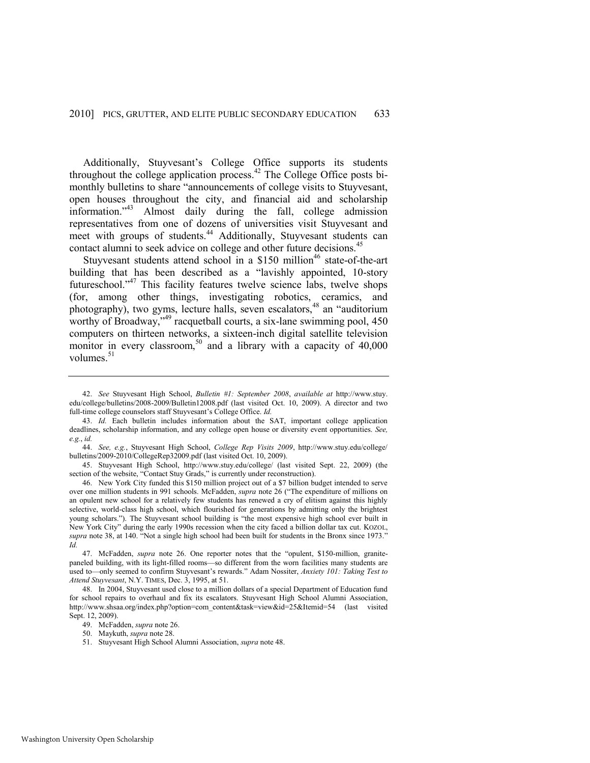Additionally, Stuyvesant's College Office supports its students throughout the college application process. $42$  The College Office posts bimonthly bulletins to share "announcements of college visits to Stuyvesant, open houses throughout the city, and financial aid and scholarship information."<sup>43</sup> Almost daily during the fall, college admission representatives from one of dozens of universities visit Stuyvesant and meet with groups of students.<sup>44</sup> Additionally, Stuyvesant students can contact alumni to seek advice on college and other future decisions.<sup>45</sup>

<span id="page-9-1"></span><span id="page-9-0"></span>Stuyvesant students attend school in a \$150 million<sup>46</sup> state-of-the-art building that has been described as a "lavishly appointed, 10-story futureschool."<sup>47</sup> This facility features twelve science labs, twelve shops (for, among other things, investigating robotics, ceramics, and photography), two gyms, lecture halls, seven escalators,<sup>48</sup> an "auditorium" worthy of Broadway,<sup>349</sup> racquetball courts, a six-lane swimming pool, 450 computers on thirteen networks, a sixteen-inch digital satellite television monitor in every classroom,<sup>50</sup> and a library with a capacity of  $40,000$ volumes. $51$ 

- 50. Maykuth, *supra* not[e 28.](#page-7-1)
- 51. Stuyvesant High School Alumni Association, *supra* not[e 48.](#page-9-0)

<sup>42.</sup> *See* Stuyvesant High School, *Bulletin #1: September 2008*, *available at* http://www.stuy. edu/college/bulletins/2008-2009/Bulletin12008.pdf (last visited Oct. 10, 2009). A director and two full-time college counselors staff Stuyvesant's College Office. *Id.*

<sup>43.</sup> *Id.* Each bulletin includes information about the SAT, important college application deadlines, scholarship information, and any college open house or diversity event opportunities. *See, e.g.*, *id.*

<sup>44.</sup> *See, e.g.*, Stuyvesant High School, *College Rep Visits 2009*, http://www.stuy.edu/college/ bulletins/2009-2010/CollegeRep32009.pdf (last visited Oct. 10, 2009).

<sup>45.</sup> Stuyvesant High School, http://www.stuy.edu/college/ (last visited Sept. 22, 2009) (the section of the website, "Contact Stuy Grads," is currently under reconstruction).

<sup>46.</sup> New York City funded this \$150 million project out of a \$7 billion budget intended to serve over one million students in 991 schools. McFadden, *supra* not[e 26](#page-6-1) ("The expenditure of millions on an opulent new school for a relatively few students has renewed a cry of elitism against this highly selective, world-class high school, which flourished for generations by admitting only the brightest young scholars."). The Stuyvesant school building is "the most expensive high school ever built in New York City" during the early 1990s recession when the city faced a billion dollar tax cut. KOZOL, supra not[e 38,](#page-8-0) at 140. "Not a single high school had been built for students in the Bronx since 1973." *Id.*

<sup>47.</sup> McFadden, *supra* note [26.](#page-6-1) One reporter notes that the "opulent, \$150-million, granitepaneled building, with its light-filled rooms—so different from the worn facilities many students are used to—only seemed to confirm Stuyvesant's rewards." Adam Nossiter, *Anxiety 101: Taking Test to Attend Stuyvesant*, N.Y. TIMES, Dec. 3, 1995, at 51.

<sup>48.</sup> In 2004, Stuyvesant used close to a million dollars of a special Department of Education fund for school repairs to overhaul and fix its escalators. Stuyvesant High School Alumni Association, http://www.shsaa.org/index.php?option=com\_content&task=view&id=25&Itemid=54 (last visited Sept. 12, 2009).

<sup>49.</sup> McFadden, *supra* not[e 26.](#page-6-1)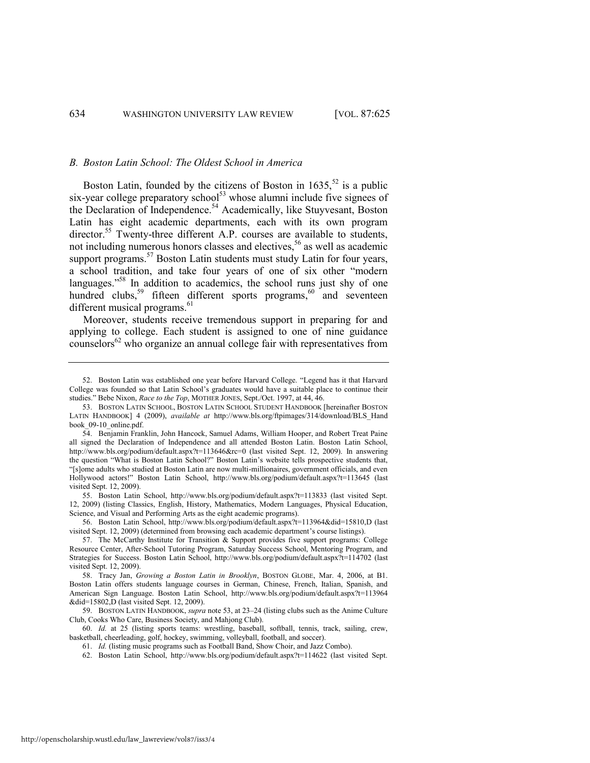#### *B. Boston Latin School: The Oldest School in America*

<span id="page-10-0"></span>Boston Latin, founded by the citizens of Boston in  $1635$ ,  $^{52}$  is a public six-year college preparatory school<sup>53</sup> whose alumni include five signees of the Declaration of Independence.<sup>54</sup> Academically, like Stuyvesant, Boston Latin has eight academic departments, each with its own program director.<sup>55</sup> Twenty-three different A.P. courses are available to students, not including numerous honors classes and electives,<sup>56</sup> as well as academic support programs.<sup>57</sup> Boston Latin students must study Latin for four years, a school tradition, and take four years of one of six other "modern languages."<sup>58</sup> In addition to academics, the school runs just shy of one hundred clubs,<sup>59</sup> fifteen different sports programs,<sup>60</sup> and seventeen different musical programs.<sup>61</sup>

<span id="page-10-1"></span>Moreover, students receive tremendous support in preparing for and applying to college. Each student is assigned to one of nine guidance counselors<sup>62</sup> who organize an annual college fair with representatives from

55. Boston Latin School, http://www.bls.org/podium/default.aspx?t=113833 (last visited Sept. 12, 2009) (listing Classics, English, History, Mathematics, Modern Languages, Physical Education, Science, and Visual and Performing Arts as the eight academic programs).

56. Boston Latin School, http://www.bls.org/podium/default.aspx?t=113964&did=15810,D (last visited Sept. 12, 2009) (determined from browsing each academic department's course listings).

<sup>52.</sup> Boston Latin was established one year before Harvard College. "Legend has it that Harvard College was founded so that Latin School's graduates would have a suitable place to continue their studies.‖ Bebe Nixon, *Race to the Top*, MOTHER JONES, Sept./Oct. 1997, at 44, 46.

<sup>53.</sup> BOSTON LATIN SCHOOL, BOSTON LATIN SCHOOL STUDENT HANDBOOK [hereinafter BOSTON LATIN HANDBOOK] 4 (2009), *available at* http://www.bls.org/ftpimages/314/download/BLS\_Hand book 09-10 online.pdf.

<sup>54.</sup> Benjamin Franklin, John Hancock, Samuel Adams, William Hooper, and Robert Treat Paine all signed the Declaration of Independence and all attended Boston Latin. Boston Latin School, http://www.bls.org/podium/default.aspx?t=113646&rc=0 (last visited Sept. 12, 2009). In answering the question "What is Boston Latin School?" Boston Latin's website tells prospective students that, ―[s]ome adults who studied at Boston Latin are now multi-millionaires, government officials, and even Hollywood actors!" Boston Latin School, http://www.bls.org/podium/default.aspx?t=113645 (last visited Sept. 12, 2009).

<sup>57.</sup> The McCarthy Institute for Transition & Support provides five support programs: College Resource Center, After-School Tutoring Program, Saturday Success School, Mentoring Program, and Strategies for Success. Boston Latin School, http://www.bls.org/podium/default.aspx?t=114702 (last visited Sept. 12, 2009).

<sup>58.</sup> Tracy Jan, *Growing a Boston Latin in Brooklyn*, BOSTON GLOBE, Mar. 4, 2006, at B1. Boston Latin offers students language courses in German, Chinese, French, Italian, Spanish, and American Sign Language. Boston Latin School, http://www.bls.org/podium/default.aspx?t=113964 &did=15802,D (last visited Sept. 12, 2009).

<sup>59.</sup> BOSTON LATIN HANDBOOK, *supra* not[e 53,](#page-10-0) at 23–24 (listing clubs such as the Anime Culture Club, Cooks Who Care, Business Society, and Mahjong Club).

<sup>60.</sup> *Id.* at 25 (listing sports teams: wrestling, baseball, softball, tennis, track, sailing, crew, basketball, cheerleading, golf, hockey, swimming, volleyball, football, and soccer).

<sup>61.</sup> *Id.* (listing music programs such as Football Band, Show Choir, and Jazz Combo).

<sup>62.</sup> Boston Latin School, http://www.bls.org/podium/default.aspx?t=114622 (last visited Sept.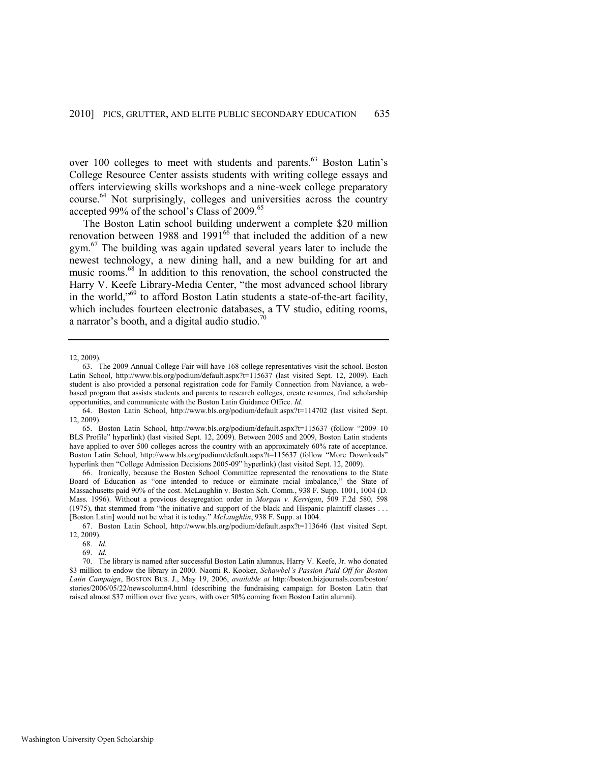over 100 colleges to meet with students and parents.<sup>63</sup> Boston Latin's College Resource Center assists students with writing college essays and offers interviewing skills workshops and a nine-week college preparatory course.<sup>64</sup> Not surprisingly, colleges and universities across the country accepted 99% of the school's Class of 2009.<sup>65</sup>

The Boston Latin school building underwent a complete \$20 million renovation between 1988 and 1991 $^{66}$  that included the addition of a new  $gym<sup>67</sup>$  The building was again updated several years later to include the newest technology, a new dining hall, and a new building for art and music rooms.<sup>68</sup> In addition to this renovation, the school constructed the Harry V. Keefe Library-Media Center, "the most advanced school library in the world," $69$  to afford Boston Latin students a state-of-the-art facility, which includes fourteen electronic databases, a TV studio, editing rooms, a narrator's booth, and a digital audio studio.<sup>7</sup>

66. Ironically, because the Boston School Committee represented the renovations to the State Board of Education as "one intended to reduce or eliminate racial imbalance," the State of Massachusetts paid 90% of the cost. McLaughlin v. Boston Sch. Comm*.*, 938 F. Supp. 1001, 1004 (D. Mass. 1996). Without a previous desegregation order in *Morgan v. Kerrigan*, 509 F.2d 580, 598 (1975), that stemmed from "the initiative and support of the black and Hispanic plaintiff classes . . . [Boston Latin] would not be what it is today." *McLaughlin*, 938 F. Supp. at 1004.

67. Boston Latin School, http://www.bls.org/podium/default.aspx?t=113646 (last visited Sept. 12, 2009).

70. The library is named after successful Boston Latin alumnus, Harry V. Keefe, Jr. who donated \$3 million to endow the library in 2000. Naomi R. Kooker, *Schawbel's Passion Paid Off for Boston Latin Campaign*, BOSTON BUS. J., May 19, 2006, *available at* http://boston.bizjournals.com/boston/ stories/2006/05/22/newscolumn4.html (describing the fundraising campaign for Boston Latin that raised almost \$37 million over five years, with over 50% coming from Boston Latin alumni).

<sup>12, 2009).</sup> 

<sup>63.</sup> The 2009 Annual College Fair will have 168 college representatives visit the school. Boston Latin School, http://www.bls.org/podium/default.aspx?t=115637 (last visited Sept. 12, 2009). Each student is also provided a personal registration code for Family Connection from Naviance, a webbased program that assists students and parents to research colleges, create resumes, find scholarship opportunities, and communicate with the Boston Latin Guidance Office. *Id.*

<sup>64.</sup> Boston Latin School, http://www.bls.org/podium/default.aspx?t=114702 (last visited Sept. 12, 2009).

<sup>65.</sup> Boston Latin School, http://www.bls.org/podium/default.aspx?t=115637 (follow "2009-10 BLS Profile" hyperlink) (last visited Sept. 12, 2009). Between 2005 and 2009, Boston Latin students have applied to over 500 colleges across the country with an approximately 60% rate of acceptance. Boston Latin School, http://www.bls.org/podium/default.aspx?t=115637 (follow "More Downloads" hyperlink then "College Admission Decisions 2005-09" hyperlink) (last visited Sept. 12, 2009).

<sup>68.</sup> *Id.* 

<sup>69.</sup> *Id.*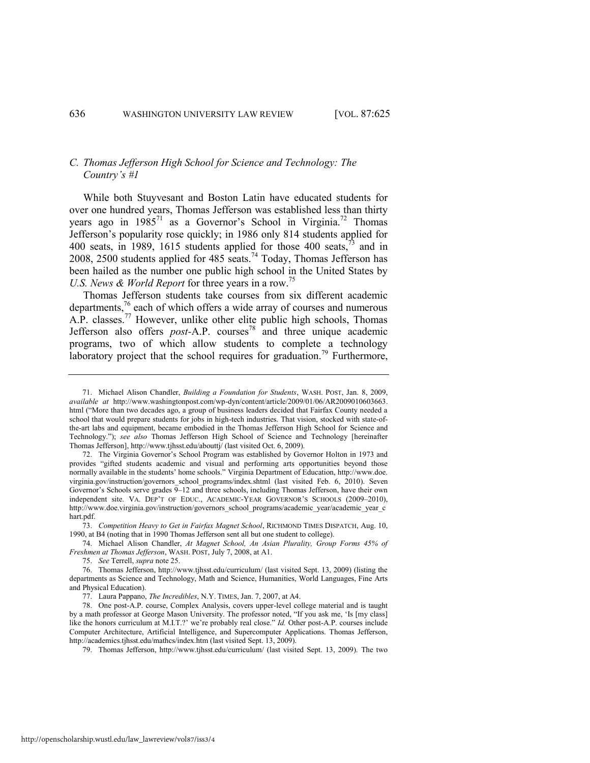# *C. Thomas Jefferson High School for Science and Technology: The Country's #1*

<span id="page-12-0"></span>While both Stuyvesant and Boston Latin have educated students for over one hundred years, Thomas Jefferson was established less than thirty years ago in  $1985^{71}$  as a Governor's School in Virginia.<sup>72</sup> Thomas Jefferson's popularity rose quickly; in 1986 only 814 students applied for 400 seats, in 1989, 1615 students applied for those 400 seats,<sup>73</sup> and in 2008, 2500 students applied for 485 seats.<sup>74</sup> Today, Thomas Jefferson has been hailed as the number one public high school in the United States by *U.S. News & World Report* for three years in a row.<sup>75</sup>

<span id="page-12-1"></span>Thomas Jefferson students take courses from six different academic departments, $^{76}$  each of which offers a wide array of courses and numerous  $A.P.$  classes.<sup>77</sup> However, unlike other elite public high schools, Thomas Jefferson also offers *post*-A.P. courses<sup>78</sup> and three unique academic programs, two of which allow students to complete a technology laboratory project that the school requires for graduation.<sup>79</sup> Furthermore,

<sup>71.</sup> Michael Alison Chandler, *Building a Foundation for Students*, WASH. POST, Jan. 8, 2009, *available at* http://www.washingtonpost.com/wp-dyn/content/article/2009/01/06/AR2009010603663. html ("More than two decades ago, a group of business leaders decided that Fairfax County needed a school that would prepare students for jobs in high-tech industries. That vision, stocked with state-ofthe-art labs and equipment, became embodied in the Thomas Jefferson High School for Science and Technology.‖); *see also* Thomas Jefferson High School of Science and Technology [hereinafter Thomas Jefferson], http://www.tjhsst.edu/abouttj/ (last visited Oct. 6, 2009).

<sup>72.</sup> The Virginia Governor's School Program was established by Governor Holton in 1973 and provides "gifted students academic and visual and performing arts opportunities beyond those normally available in the students' home schools." Virginia Department of Education, http://www.doe. virginia.gov/instruction/governors\_school\_programs/index.shtml (last visited Feb. 6, 2010). Seven Governor's Schools serve grades 9–12 and three schools, including Thomas Jefferson, have their own independent site. VA. DEP'T OF EDUC., ACADEMIC-YEAR GOVERNOR'S SCHOOLS (2009–2010), http://www.doe.virginia.gov/instruction/governors\_school\_programs/academic\_year/academic\_year\_c hart.pdf.

<sup>73.</sup> *Competition Heavy to Get in Fairfax Magnet School*, RICHMOND TIMES DISPATCH, Aug. 10, 1990, at B4 (noting that in 1990 Thomas Jefferson sent all but one student to college).

<sup>74.</sup> Michael Alison Chandler, *At Magnet School, An Asian Plurality, Group Forms 45% of Freshmen at Thomas Jefferson*, WASH. POST, July 7, 2008, at A1.

<sup>75.</sup> *[See](../../../../AppData/Local/AppData/Local/Microsoft/Windows/Temporary%20Internet%20Files/Content.Outlook/IMYQVI6V/See)* Terrell, *supra* not[e 25.](#page-5-0)

<sup>76.</sup> Thomas Jefferson, http://www.tjhsst.edu/curriculum/ (last visited Sept. 13, 2009) (listing the departments as Science and Technology, Math and Science, Humanities, World Languages, Fine Arts and Physical Education).

<sup>77.</sup> Laura Pappano, *The Incredibles*, N.Y. TIMES, Jan. 7, 2007, at A4.

<sup>78.</sup> One post-A.P. course, Complex Analysis, covers upper-level college material and is taught by a math professor at George Mason University. The professor noted, "If you ask me, 'Is [my class] like the honors curriculum at M.I.T.?' we're probably real close." *Id.* Other post-A.P. courses include Computer Architecture, Artificial Intelligence, and Supercomputer Applications. Thomas Jefferson, http://academics.tjhsst.edu/mathcs/index.htm (last visited Sept. 13, 2009).

<sup>79.</sup> Thomas Jefferson, http://www.tjhsst.edu/curriculum/ (last visited Sept. 13, 2009). The two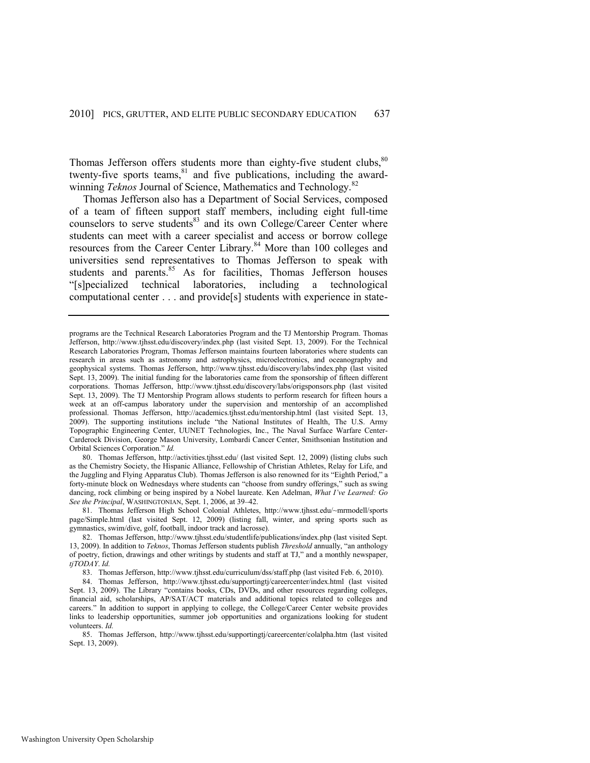<span id="page-13-0"></span>Thomas Jefferson offers students more than eighty-five student clubs, $80$ twenty-five sports teams,<sup>81</sup> and five publications, including the awardwinning *Teknos* Journal of Science, Mathematics and Technology.<sup>82</sup>

Thomas Jefferson also has a Department of Social Services, composed of a team of fifteen support staff members, including eight full-time counselors to serve students<sup>83</sup> and its own College/Career Center where students can meet with a career specialist and access or borrow college resources from the Career Center Library.<sup>84</sup> More than 100 colleges and universities send representatives to Thomas Jefferson to speak with students and parents.<sup>85</sup> As for facilities, Thomas Jefferson houses ―[s]pecialized technical laboratories, including a technological computational center . . . and provide[s] students with experience in state-

80. Thomas Jefferson, http://activities.tjhsst.edu/ (last visited Sept. 12, 2009) (listing clubs such as the Chemistry Society, the Hispanic Alliance, Fellowship of Christian Athletes, Relay for Life, and the Juggling and Flying Apparatus Club). Thomas Jefferson is also renowned for its "Eighth Period," a forty-minute block on Wednesdays where students can "choose from sundry offerings," such as swing dancing, rock climbing or being inspired by a Nobel laureate. Ken Adelman, *What I've Learned: Go See the Principal*, WASHINGTONIAN, Sept. 1, 2006, at 39–42.

81. Thomas Jefferson High School Colonial Athletes, http://www.tjhsst.edu/~mrmodell/sports page/Simple.html (last visited Sept. 12, 2009) (listing fall, winter, and spring sports such as gymnastics, swim/dive, golf, football, indoor track and lacrosse).

82. Thomas Jefferson, http://www.tjhsst.edu/studentlife/publications/index.php (last visited Sept. 13, 2009). In addition to *Teknos*, Thomas Jefferson students publish *Threshold* annually, "an anthology of poetry, fiction, drawings and other writings by students and staff at TJ," and a monthly newspaper, *tjTODAY*. *Id.* 

83. Thomas Jefferson, http://www.tjhsst.edu/curriculum/dss/staff.php (last visited Feb. 6, 2010).

84. Thomas Jefferson, http://www.tjhsst.edu/supportingtj/careercenter/index.html (last visited Sept. 13, 2009). The Library "contains books, CDs, DVDs, and other resources regarding colleges, financial aid, scholarships, AP/SAT/ACT materials and additional topics related to colleges and careers." In addition to support in applying to college, the College/Career Center website provides links to leadership opportunities, summer job opportunities and organizations looking for student volunteers. *Id.*

85. Thomas Jefferson, http://www.tjhsst.edu/supportingtj/careercenter/colalpha.htm (last visited Sept. 13, 2009).

programs are the Technical Research Laboratories Program and the TJ Mentorship Program. Thomas Jefferson, http://www.tjhsst.edu/discovery/index.php (last visited Sept. 13, 2009). For the Technical Research Laboratories Program, Thomas Jefferson maintains fourteen laboratories where students can research in areas such as astronomy and astrophysics, microelectronics, and oceanography and geophysical systems. Thomas Jefferson, http://www.tjhsst.edu/discovery/labs/index.php (last visited Sept. 13, 2009). The initial funding for the laboratories came from the sponsorship of fifteen different corporations. Thomas Jefferson, http://www.tjhsst.edu/discovery/labs/origsponsors.php (last visited Sept. 13, 2009). The TJ Mentorship Program allows students to perform research for fifteen hours a week at an off-campus laboratory under the supervision and mentorship of an accomplished professional. Thomas Jefferson, http://academics.tjhsst.edu/mentorship.html (last visited Sept. 13, 2009). The supporting institutions include "the National Institutes of Health, The U.S. Army Topographic Engineering Center, UUNET Technologies, Inc., The Naval Surface Warfare Center-Carderock Division, George Mason University, Lombardi Cancer Center, Smithsonian Institution and Orbital Sciences Corporation." *Id.*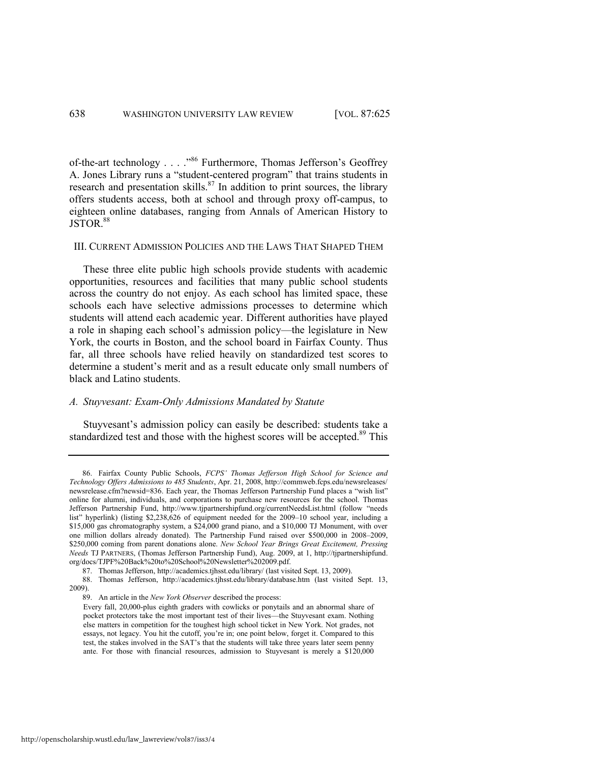<span id="page-14-0"></span>of-the-art technology . . . .<sup>86</sup> Furthermore, Thomas Jefferson's Geoffrey A. Jones Library runs a "student-centered program" that trains students in research and presentation skills. $87$  In addition to print sources, the library offers students access, both at school and through proxy off-campus, to eighteen online databases, ranging from Annals of American History to JSTOR.<sup>88</sup>

#### III. CURRENT ADMISSION POLICIES AND THE LAWS THAT SHAPED THEM

These three elite public high schools provide students with academic opportunities, resources and facilities that many public school students across the country do not enjoy. As each school has limited space, these schools each have selective admissions processes to determine which students will attend each academic year. Different authorities have played a role in shaping each school's admission policy—the legislature in New York, the courts in Boston, and the school board in Fairfax County. Thus far, all three schools have relied heavily on standardized test scores to determine a student's merit and as a result educate only small numbers of black and Latino students.

# *A. Stuyvesant: Exam-Only Admissions Mandated by Statute*

Stuyvesant's admission policy can easily be described: students take a standardized test and those with the highest scores will be accepted.<sup>89</sup> This

<sup>86.</sup> Fairfax County Public Schools, *FCPS' Thomas Jefferson High School for Science and Technology Offers Admissions to 485 Students*, Apr. 21, 2008, http://commweb.fcps.edu/newsreleases/ newsrelease.cfm?newsid=836. Each year, the Thomas Jefferson Partnership Fund places a "wish list" online for alumni, individuals, and corporations to purchase new resources for the school. Thomas Jefferson Partnership Fund, http://www.tjpartnershipfund.org/currentNeedsList.html (follow "needs list" hyperlink) (listing \$2,238,626 of equipment needed for the 2009–10 school year, including a \$15,000 gas chromatography system, a \$24,000 grand piano, and a \$10,000 TJ Monument, with over one million dollars already donated). The Partnership Fund raised over \$500,000 in 2008–2009, \$250,000 coming from parent donations alone. *New School Year Brings Great Excitement, Pressing Needs* TJ PARTNERS, (Thomas Jefferson Partnership Fund), Aug. 2009, at 1, http://tjpartnershipfund. org/docs/TJPF%20Back%20to%20School%20Newsletter%202009.pdf.

<sup>87.</sup> Thomas Jefferson, http://academics.tjhsst.edu/library/ (last visited Sept. 13, 2009).

<sup>88.</sup> Thomas Jefferson, http://academics.tjhsst.edu/library/database.htm (last visited Sept. 13, 2009).

<sup>89.</sup> An article in the *New York Observer* described the process:

Every fall, 20,000-plus eighth graders with cowlicks or ponytails and an abnormal share of pocket protectors take the most important test of their lives—the Stuyvesant exam. Nothing else matters in competition for the toughest high school ticket in New York. Not grades, not essays, not legacy. You hit the cutoff, you're in; one point below, forget it. Compared to this test, the stakes involved in the SAT's that the students will take three years later seem penny ante. For those with financial resources, admission to Stuyvesant is merely a \$120,000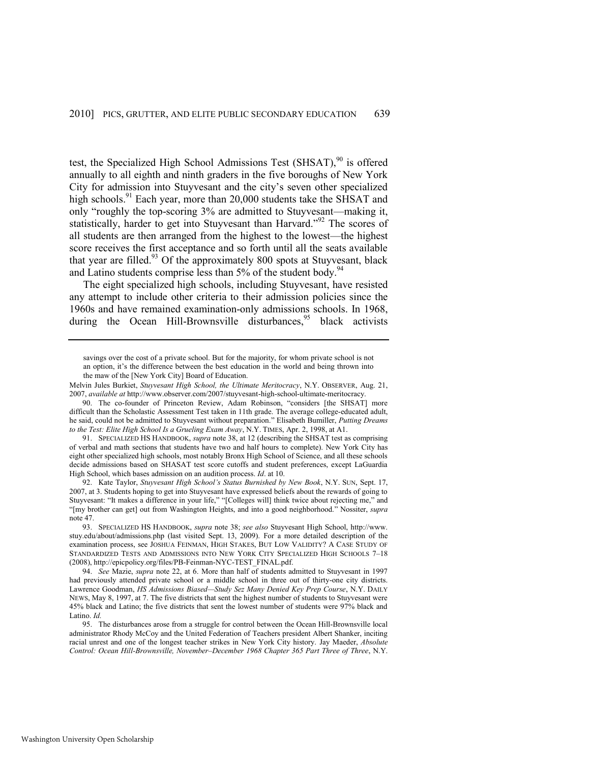test, the Specialized High School Admissions Test  $(SHSAT)$ ,<sup>90</sup> is offered annually to all eighth and ninth graders in the five boroughs of New York City for admission into Stuyvesant and the city's seven other specialized high schools.<sup>91</sup> Each year, more than 20,000 students take the SHSAT and only "roughly the top-scoring 3% are admitted to Stuyvesant—making it, statistically, harder to get into Stuyvesant than Harvard.<sup>92</sup> The scores of all students are then arranged from the highest to the lowest—the highest score receives the first acceptance and so forth until all the seats available that year are filled.<sup>93</sup> Of the approximately 800 spots at Stuyvesant, black and Latino students comprise less than 5% of the student body.<sup>94</sup>

<span id="page-15-1"></span><span id="page-15-0"></span>The eight specialized high schools, including Stuyvesant, have resisted any attempt to include other criteria to their admission policies since the 1960s and have remained examination-only admissions schools. In 1968, during the Ocean Hill-Brownsville disturbances,  $95$  black activists

91. SPECIALIZED HS HANDBOOK, *supra* not[e 38,](#page-8-0) at 12 (describing the SHSAT test as comprising of verbal and math sections that students have two and half hours to complete). New York City has eight other specialized high schools, most notably Bronx High School of Science, and all these schools decide admissions based on SHASAT test score cutoffs and student preferences, except LaGuardia High School, which bases admission on an audition process. *Id*. at 10.

92. Kate Taylor, *Stuyvesant High School's Status Burnished by New Book*, N.Y. SUN, Sept. 17, 2007, at 3. Students hoping to get into Stuyvesant have expressed beliefs about the rewards of going to Stuyvesant: "It makes a difference in your life," "[Colleges will] think twice about rejecting me," and ―[my brother can get] out from Washington Heights, and into a good neighborhood.‖ Nossiter, *supra*  note [47.](#page-9-1) 

93. SPECIALIZED HS HANDBOOK, *supra* note [38;](#page-8-0) *see also* Stuyvesant High School, [http://www.](http://www/)  stuy.edu/about/admissions.php (last visited Sept. 13, 2009). For a more detailed description of the examination process, see JOSHUA FEINMAN, HIGH STAKES, BUT LOW VALIDITY? A CASE STUDY OF STANDARDIZED TESTS AND ADMISSIONS INTO NEW YORK CITY SPECIALIZED HIGH SCHOOLS 7–18 (2008), http://epicpolicy.org/files/PB-Feinman-NYC-TEST\_FINAL.pdf.

94. *See* Mazie, *supra* not[e 22,](#page-4-0) at 6. More than half of students admitted to Stuyvesant in 1997 had previously attended private school or a middle school in three out of thirty-one city districts. Lawrence Goodman, *HS Admissions Biased—Study Sez Many Denied Key Prep Course*, N.Y. DAILY NEWS, May 8, 1997, at 7. The five districts that sent the highest number of students to Stuyvesant were 45% black and Latino; the five districts that sent the lowest number of students were 97% black and Latino. *Id.*

95. The disturbances arose from a struggle for control between the Ocean Hill-Brownsville local administrator Rhody McCoy and the United Federation of Teachers president Albert Shanker, inciting racial unrest and one of the longest teacher strikes in New York City history. Jay Maeder, *Absolute Control: Ocean Hill-Brownsville, November–December 1968 Chapter 365 Part Three of Three*, N.Y.

savings over the cost of a private school. But for the majority, for whom private school is not an option, it's the difference between the best education in the world and being thrown into the maw of the [New York City] Board of Education.

Melvin Jules Burkiet, *Stuyvesant High School, the Ultimate Meritocracy*, N.Y. OBSERVER, Aug. 21, 2007, *available at* http://www.observer.com/2007/stuyvesant-high-school-ultimate-meritocracy.

<sup>90.</sup> The co-founder of Princeton Review, Adam Robinson, "considers [the SHSAT] more difficult than the Scholastic Assessment Test taken in 11th grade. The average college-educated adult, he said, could not be admitted to Stuyvesant without preparation." Elisabeth Bumiller, *Putting Dreams to the Test: Elite High School Is a Grueling Exam Away*, N.Y. TIMES, Apr. 2, 1998, at A1.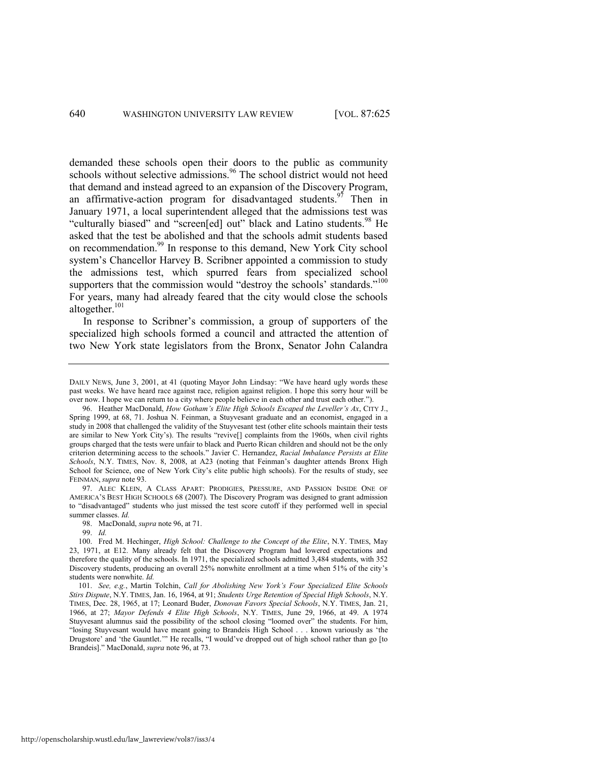<span id="page-16-1"></span><span id="page-16-0"></span>demanded these schools open their doors to the public as community schools without selective admissions.<sup>96</sup> The school district would not heed that demand and instead agreed to an expansion of the Discovery Program, an affirmative-action program for disadvantaged students.<sup>97</sup> Then in January 1971, a local superintendent alleged that the admissions test was "culturally biased" and "screen[ed] out" black and Latino students.<sup>98</sup> He asked that the test be abolished and that the schools admit students based on recommendation.<sup>99</sup> In response to this demand, New York City school system's Chancellor Harvey B. Scribner appointed a commission to study the admissions test, which spurred fears from specialized school supporters that the commission would "destroy the schools' standards."<sup>100</sup> For years, many had already feared that the city would close the schools altogether. $101$ 

In response to Scribner's commission, a group of supporters of the specialized high schools formed a council and attracted the attention of two New York state legislators from the Bronx, Senator John Calandra

97. ALEC KLEIN, A CLASS APART: PRODIGIES, PRESSURE, AND PASSION INSIDE ONE OF AMERICA'S BEST HIGH SCHOOLS 68 (2007). The Discovery Program was designed to grant admission to "disadvantaged" students who just missed the test score cutoff if they performed well in special summer classes. *Id.*

DAILY NEWS, June 3, 2001, at 41 (quoting Mayor John Lindsay: "We have heard ugly words these past weeks. We have heard race against race, religion against religion. I hope this sorry hour will be over now. I hope we can return to a city where people believe in each other and trust each other.").

<sup>96.</sup> Heather MacDonald, *How Gotham's Elite High Schools Escaped the Leveller's Ax*, CITY J., Spring 1999, at 68, 71. Joshua N. Feinman, a Stuyvesant graduate and an economist, engaged in a study in 2008 that challenged the validity of the Stuyvesant test (other elite schools maintain their tests are similar to New York City's). The results "revive[] complaints from the 1960s, when civil rights groups charged that the tests were unfair to black and Puerto Rican children and should not be the only criterion determining access to the schools.‖ Javier C. Hernandez, *Racial Imbalance Persists at Elite Schools*, N.Y. TIMES, Nov. 8, 2008, at A23 (noting that Feinman's daughter attends Bronx High School for Science, one of New York City's elite public high schools). For the results of study, see FEINMAN, *supra* not[e 93.](#page-15-0)

<sup>98.</sup> MacDonald, *supra* not[e 96,](#page-16-0) at 71.

<sup>99.</sup> *Id.*

<sup>100.</sup> Fred M. Hechinger, *High School: Challenge to the Concept of the Elite*, N.Y. TIMES, May 23, 1971, at E12. Many already felt that the Discovery Program had lowered expectations and therefore the quality of the schools. In 1971, the specialized schools admitted 3,484 students, with 352 Discovery students, producing an overall 25% nonwhite enrollment at a time when 51% of the city's students were nonwhite. *Id.*

<sup>101.</sup> *See, e.g.*, Martin Tolchin, *Call for Abolishing New York's Four Specialized Elite Schools Stirs Dispute*, N.Y. TIMES, Jan. 16, 1964, at 91; *Students Urge Retention of Special High Schools*, N.Y. TIMES, Dec. 28, 1965, at 17; Leonard Buder, *Donovan Favors Special Schools*, N.Y. TIMES, Jan. 21, 1966, at 27; *Mayor Defends 4 Elite High Schools*, N.Y. TIMES, June 29, 1966, at 49. A 1974 Stuyvesant alumnus said the possibility of the school closing "loomed over" the students. For him, "losing Stuyvesant would have meant going to Brandeis High School . . . known variously as 'the Drugstore' and 'the Gauntlet.'" He recalls, "I would've dropped out of high school rather than go [to Brandeis].‖ MacDonald, *supra* not[e 96,](#page-16-0) at 73.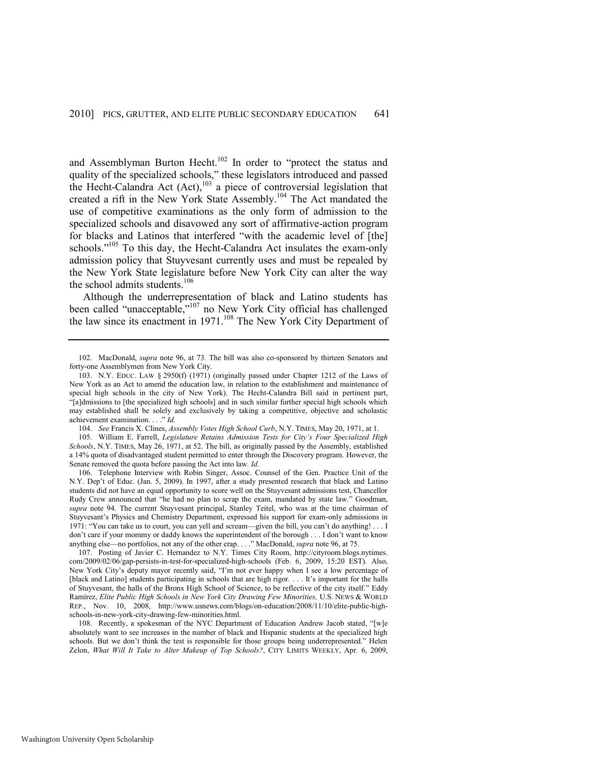and Assemblyman Burton Hecht.<sup>102</sup> In order to "protect the status and quality of the specialized schools," these legislators introduced and passed the Hecht-Calandra Act  $(Act)$ ,<sup>103</sup> a piece of controversial legislation that created a rift in the New York State Assembly.<sup>104</sup> The Act mandated the use of competitive examinations as the only form of admission to the specialized schools and disavowed any sort of affirmative-action program for blacks and Latinos that interfered "with the academic level of [the] schools."<sup>105</sup> To this day, the Hecht-Calandra Act insulates the exam-only admission policy that Stuyvesant currently uses and must be repealed by the New York State legislature before New York City can alter the way the school admits students.<sup>106</sup>

Although the underrepresentation of black and Latino students has been called "unacceptable,"<sup>107</sup> no New York City official has challenged the law since its enactment in 1971.<sup>108</sup> The New York City Department of

105. William E. Farrell, *Legislature Retains Admission Tests for City's Four Specialized High Schools*, N.Y. TIMES, May 26, 1971, at 52. The bill, as originally passed by the Assembly, established a 14% quota of disadvantaged student permitted to enter through the Discovery program. However, the Senate removed the quota before passing the Act into law. *Id.*

106. Telephone Interview with Robin Singer, Assoc. Counsel of the Gen. Practice Unit of the N.Y. Dep't of Educ. (Jan. 5, 2009). In 1997, after a study presented research that black and Latino students did not have an equal opportunity to score well on the Stuyvesant admissions test, Chancellor Rudy Crew announced that "he had no plan to scrap the exam, mandated by state law." Goodman, *supra* note [94.](#page-15-1) The current Stuyvesant principal, Stanley Teitel, who was at the time chairman of Stuyvesant's Physics and Chemistry Department, expressed his support for exam-only admissions in 1971: "You can take us to court, you can yell and scream—given the bill, you can't do anything! . . . I don't care if your mommy or daddy knows the superintendent of the borough . . . I don't want to know anything else—no portfolios, not any of the other crap. . . .‖ MacDonald, *supra* not[e 96,](#page-16-0) at 75.

107. Posting of Javier C. Hernandez to N.Y. Times City Room, http://cityroom.blogs.nytimes. com/2009/02/06/gap-persists-in-test-for-specialized-high-schools (Feb. 6, 2009, 15:20 EST). Also, New York City's deputy mayor recently said, "I'm not ever happy when I see a low percentage of [black and Latino] students participating in schools that are high rigor. . . . It's important for the halls of Stuyvesant, the halls of the Bronx High School of Science, to be reflective of the city itself." Eddy Ramírez, *Elite Public High Schools in New York City Drawing Few Minorities,* U.S. NEWS & WORLD REP., Nov. 10, 2008, http://www.usnews.com/blogs/on-education/2008/11/10/elite-public-highschools-in-new-york-city-drawing-few-minorities.html.

108. Recently, a spokesman of the NYC Department of Education Andrew Jacob stated, "[w]e absolutely want to see increases in the number of black and Hispanic students at the specialized high schools. But we don't think the test is responsible for those groups being underrepresented." Helen Zelon, *What Will It Take to Alter Makeup of Top Schools?*, CITY LIMITS WEEKLY, Apr. 6, 2009,

<sup>102.</sup> MacDonald, *supra* note [96,](#page-16-0) at 73*.* The bill was also co-sponsored by thirteen Senators and forty-one Assemblymen from New York City.

<sup>103.</sup> N.Y. EDUC. LAW § 2950(f) (1971) (originally passed under Chapter 1212 of the Laws of New York as an Act to amend the education law, in relation to the establishment and maintenance of special high schools in the city of New York). The Hecht-Calandra Bill said in pertinent part, ―[a]dmissions to [the specialized high schools] and in such similar further special high schools which may established shall be solely and exclusively by taking a competitive, objective and scholastic achievement examination. . . . " *Id.* 

<sup>104.</sup> *See* Francis X. Clines, *Assembly Votes High School Curb*, N.Y. TIMES, May 20, 1971, at 1.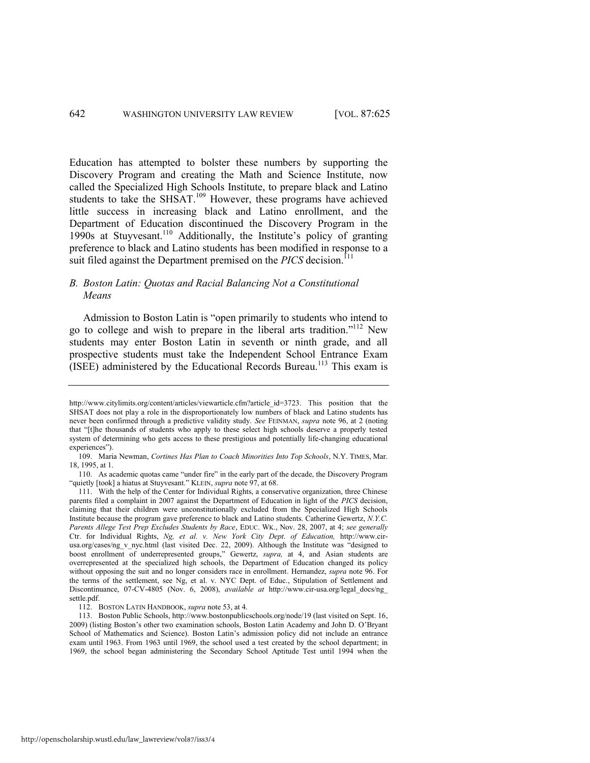<span id="page-18-0"></span>Education has attempted to bolster these numbers by supporting the Discovery Program and creating the Math and Science Institute, now called the Specialized High Schools Institute, to prepare black and Latino students to take the SHSAT.<sup>109</sup> However, these programs have achieved little success in increasing black and Latino enrollment, and the Department of Education discontinued the Discovery Program in the 1990s at Stuyvesant.<sup>110</sup> Additionally, the Institute's policy of granting preference to black and Latino students has been modified in response to a suit filed against the Department premised on the *PICS* decision.<sup>111</sup>

# *B. Boston Latin: Quotas and Racial Balancing Not a Constitutional Means*

Admission to Boston Latin is "open primarily to students who intend to go to college and wish to prepare in the liberal arts tradition."<sup>112</sup> New students may enter Boston Latin in seventh or ninth grade, and all prospective students must take the Independent School Entrance Exam  $(ISEE)$  administered by the Educational Records Bureau.<sup>113</sup> This exam is

http://www.citylimits.org/content/articles/viewarticle.cfm?article\_id=3723. This position that the SHSAT does not play a role in the disproportionately low numbers of black and Latino students has never been confirmed through a predictive validity study. *See* FEINMAN, *supra* note [96,](#page-16-0) at 2 (noting that "[t]he thousands of students who apply to these select high schools deserve a properly tested system of determining who gets access to these prestigious and potentially life-changing educational experiences").

<sup>109.</sup> Maria Newman, *Cortines Has Plan to Coach Minorities Into Top Schools*, N.Y. TIMES, Mar. 18, 1995, at 1.

<sup>110.</sup> As academic quotas came "under fire" in the early part of the decade, the Discovery Program "quietly [took] a hiatus at Stuyvesant." KLEIN, *supra* not[e 97,](#page-16-1) at 68.

<sup>111.</sup> With the help of the Center for Individual Rights, a conservative organization, three Chinese parents filed a complaint in 2007 against the Department of Education in light of the *PICS* decision, claiming that their children were unconstitutionally excluded from the Specialized High Schools Institute because the program gave preference to black and Latino students. Catherine Gewertz, *N.Y.C. Parents Allege Test Prep Excludes Students by Race*, EDUC. WK., Nov. 28, 2007, at 4; *see generally*  Ctr. for Individual Rights, *Ng, et al. v. New York City Dept. of Education,* http://www.cirusa.org/cases/ng\_v\_nyc.html (last visited Dec. 22, 2009). Although the Institute was "designed to boost enrollment of underrepresented groups," Gewertz, *supra*, at 4, and Asian students are overrepresented at the specialized high schools, the Department of Education changed its policy without opposing the suit and no longer considers race in enrollment. Hernandez, *supra* note [96.](#page-16-0) For the terms of the settlement, see Ng, et al. v. NYC Dept. of Educ., Stipulation of Settlement and Discontinuance, 07-CV-4805 (Nov. 6, 2008), *available at* http://www.cir-usa.org/legal\_docs/ng\_ settle.pdf.

<sup>112.</sup> BOSTON LATIN HANDBOOK, *supra* not[e 53,](#page-10-0) at 4.

<sup>113.</sup> Boston Public Schools, http://www.bostonpublicschools.org/node/19 (last visited on Sept. 16, 2009) (listing Boston's other two examination schools, Boston Latin Academy and John D. O'Bryant School of Mathematics and Science). Boston Latin's admission policy did not include an entrance exam until 1963. From 1963 until 1969, the school used a test created by the school department; in 1969, the school began administering the Secondary School Aptitude Test until 1994 when the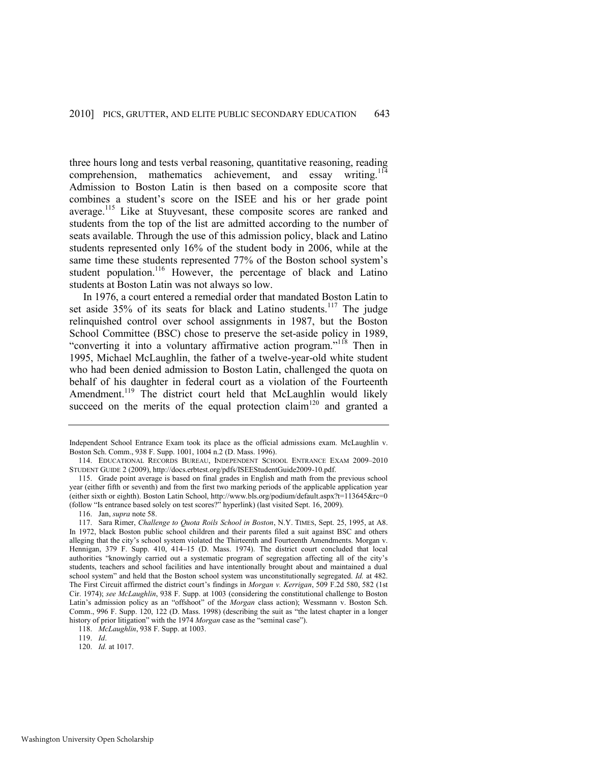three hours long and tests verbal reasoning, quantitative reasoning, reading comprehension, mathematics achievement, and essay writing.<sup>11</sup> Admission to Boston Latin is then based on a composite score that combines a student's score on the ISEE and his or her grade point average.<sup>115</sup> Like at Stuyvesant, these composite scores are ranked and students from the top of the list are admitted according to the number of seats available. Through the use of this admission policy, black and Latino students represented only 16% of the student body in 2006, while at the same time these students represented 77% of the Boston school system's student population.<sup>116</sup> However, the percentage of black and Latino students at Boston Latin was not always so low.

In 1976, a court entered a remedial order that mandated Boston Latin to set aside  $35\%$  of its seats for black and Latino students.<sup>117</sup> The judge relinquished control over school assignments in 1987, but the Boston School Committee (BSC) chose to preserve the set-aside policy in 1989, "converting it into a voluntary affirmative action program."<sup>118</sup> Then in 1995, Michael McLaughlin, the father of a twelve-year-old white student who had been denied admission to Boston Latin, challenged the quota on behalf of his daughter in federal court as a violation of the Fourteenth Amendment.<sup>119</sup> The district court held that McLaughlin would likely succeed on the merits of the equal protection claim<sup>120</sup> and granted a

Independent School Entrance Exam took its place as the official admissions exam. McLaughlin v. Boston Sch. Comm., 938 F. Supp. 1001, 1004 n.2 (D. Mass. 1996).

<sup>114.</sup> EDUCATIONAL RECORDS BUREAU, INDEPENDENT SCHOOL ENTRANCE EXAM 2009–2010 STUDENT GUIDE 2 (2009), http://docs.erbtest.org/pdfs/ISEEStudentGuide2009-10.pdf.

<sup>115.</sup> Grade point average is based on final grades in English and math from the previous school year (either fifth or seventh) and from the first two marking periods of the applicable application year (either sixth or eighth). Boston Latin School, http://www.bls.org/podium/default.aspx?t=113645&rc=0 (follow "Is entrance based solely on test scores?" hyperlink) (last visited Sept. 16, 2009).

<sup>116.</sup> Jan, *supra* not[e 58.](#page-10-1) 

<sup>117.</sup> Sara Rimer, *Challenge to Quota Roils School in Boston*, N.Y. TIMES, Sept. 25, 1995, at A8. In 1972, black Boston public school children and their parents filed a suit against BSC and others alleging that the city's school system violated the Thirteenth and Fourteenth Amendments. Morgan v. Hennigan, 379 F. Supp. 410, 414–15 (D. Mass. 1974). The district court concluded that local authorities "knowingly carried out a systematic program of segregation affecting all of the city's students, teachers and school facilities and have intentionally brought about and maintained a dual school system" and held that the Boston school system was unconstitutionally segregated. *Id.* at 482. The First Circuit affirmed the district court's findings in *Morgan v. Kerrigan*, 509 F.2d 580, 582 (1st Cir. 1974); *see McLaughlin*, 938 F. Supp. at 1003 (considering the constitutional challenge to Boston Latin's admission policy as an "offshoot" of the *Morgan* class action); Wessmann v. Boston Sch. Comm., 996 F. Supp. 120, 122 (D. Mass. 1998) (describing the suit as "the latest chapter in a longer history of prior litigation" with the 1974 *Morgan* case as the "seminal case").

<sup>118.</sup> *McLaughlin*, 938 F. Supp. at 1003.

<sup>119.</sup> *Id*.

<sup>120.</sup> *Id.* at 1017.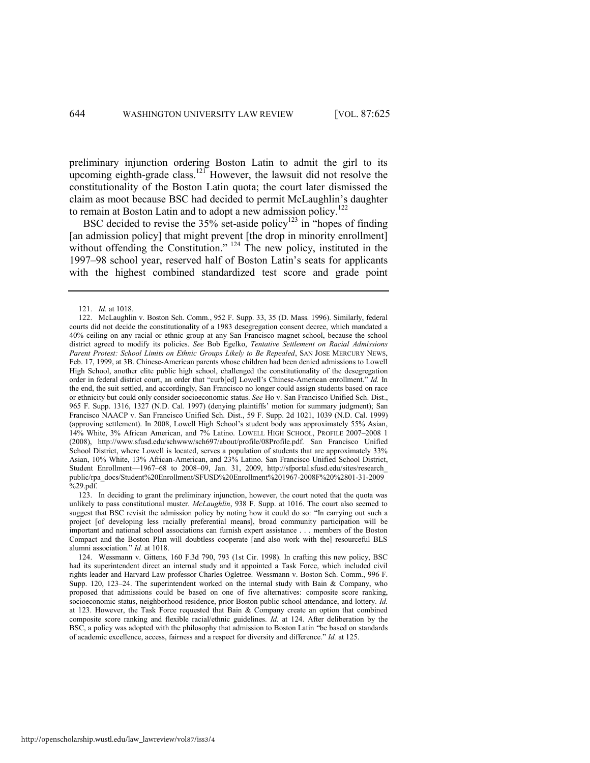preliminary injunction ordering Boston Latin to admit the girl to its upcoming eighth-grade class.<sup>121</sup> However, the lawsuit did not resolve the constitutionality of the Boston Latin quota; the court later dismissed the claim as moot because BSC had decided to permit McLaughlin's daughter to remain at Boston Latin and to adopt a new admission policy.<sup>122</sup>

BSC decided to revise the  $35\%$  set-aside policy<sup>123</sup> in "hopes of finding" [an admission policy] that might prevent [the drop in minority enrollment] without offending the Constitution."  $^{124}$  The new policy, instituted in the 1997–98 school year, reserved half of Boston Latin's seats for applicants with the highest combined standardized test score and grade point

<sup>121.</sup> *Id.* at 1018.

<sup>122.</sup> McLaughlin v. Boston Sch. Comm., 952 F. Supp. 33, 35 (D. Mass. 1996). Similarly, federal courts did not decide the constitutionality of a 1983 desegregation consent decree, which mandated a 40% ceiling on any racial or ethnic group at any San Francisco magnet school, because the school district agreed to modify its policies. *See* Bob Egelko, *Tentative Settlement on Racial Admissions Parent Protest: School Limits on Ethnic Groups Likely to Be Repealed*, SAN JOSE MERCURY NEWS, Feb. 17, 1999, at 3B. Chinese-American parents whose children had been denied admissions to Lowell High School, another elite public high school, challenged the constitutionality of the desegregation order in federal district court, an order that "curb[ed] Lowell's Chinese-American enrollment." *Id.* In the end, the suit settled, and accordingly, San Francisco no longer could assign students based on race or ethnicity but could only consider socioeconomic status. *See* Ho v. San Francisco Unified Sch. Dist., 965 F. Supp. 1316, 1327 (N.D. Cal. 1997) (denying plaintiffs' motion for summary judgment); San Francisco NAACP v. San Francisco Unified Sch. Dist., 59 F. Supp. 2d 1021, 1039 (N.D. Cal. 1999) (approving settlement). In 2008, Lowell High School's student body was approximately 55% Asian, 14% White, 3% African American, and 7% Latino. LOWELL HIGH SCHOOL, PROFILE 2007–2008 1 (2008), http://www.sfusd.edu/schwww/sch697/about/profile/08Profile.pdf. San Francisco Unified School District, where Lowell is located, serves a population of students that are approximately 33% Asian, 10% White, 13% African-American, and 23% Latino. San Francisco Unified School District, Student Enrollment—1967–68 to 2008–09, Jan. 31, 2009, http://sfportal.sfusd.edu/sites/research\_ public/rpa\_docs/Student%20Enrollment/SFUSD%20Enrollment%201967-2008F%20%2801-31-2009 %29.pdf.

<sup>123.</sup> In deciding to grant the preliminary injunction, however, the court noted that the quota was unlikely to pass constitutional muster. *McLaughlin*, 938 F. Supp. at 1016. The court also seemed to suggest that BSC revisit the admission policy by noting how it could do so: "In carrying out such a project [of developing less racially preferential means], broad community participation will be important and national school associations can furnish expert assistance . . . members of the Boston Compact and the Boston Plan will doubtless cooperate [and also work with the] resourceful BLS alumni association.‖ *Id.* at 1018.

<sup>124.</sup> Wessmann v. Gittens*,* 160 F.3d 790, 793 (1st Cir. 1998). In crafting this new policy, BSC had its superintendent direct an internal study and it appointed a Task Force, which included civil rights leader and Harvard Law professor Charles Ogletree. Wessmann v. Boston Sch. Comm., 996 F. Supp. 120, 123–24. The superintendent worked on the internal study with Bain & Company, who proposed that admissions could be based on one of five alternatives: composite score ranking, socioeconomic status, neighborhood residence, prior Boston public school attendance, and lottery. *Id.* at 123. However, the Task Force requested that Bain & Company create an option that combined composite score ranking and flexible racial/ethnic guidelines. *Id.* at 124. After deliberation by the BSC, a policy was adopted with the philosophy that admission to Boston Latin "be based on standards" of academic excellence, access, fairness and a respect for diversity and difference." *Id.* at 125.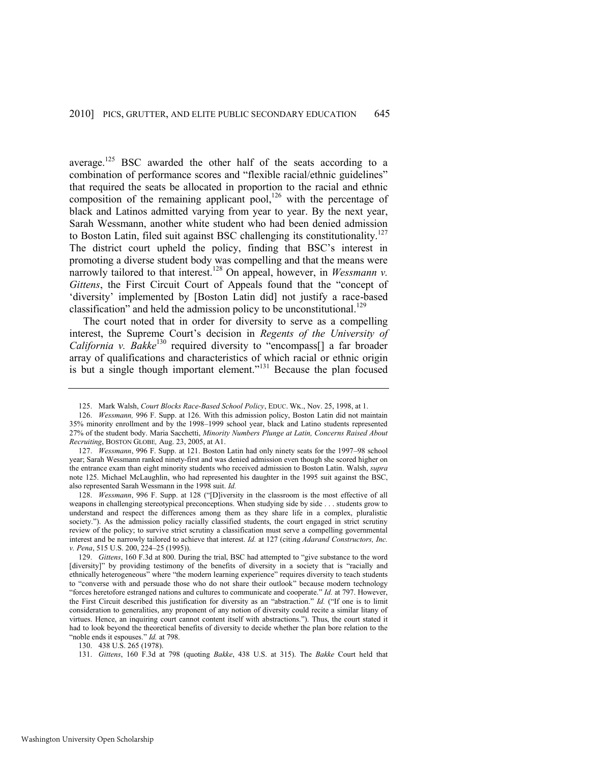<span id="page-21-1"></span><span id="page-21-0"></span>average.<sup>125</sup> BSC awarded the other half of the seats according to a combination of performance scores and "flexible racial/ethnic guidelines" that required the seats be allocated in proportion to the racial and ethnic composition of the remaining applicant pool,<sup>126</sup> with the percentage of black and Latinos admitted varying from year to year. By the next year, Sarah Wessmann, another white student who had been denied admission to Boston Latin, filed suit against BSC challenging its constitutionality.<sup>127</sup> The district court upheld the policy, finding that BSC's interest in promoting a diverse student body was compelling and that the means were narrowly tailored to that interest.<sup>128</sup> On appeal, however, in *Wessmann v*. *Gittens*, the First Circuit Court of Appeals found that the "concept of 'diversity' implemented by [Boston Latin did] not justify a race-based classification" and held the admission policy to be unconstitutional.<sup>129</sup>

The court noted that in order for diversity to serve as a compelling interest, the Supreme Court's decision in *Regents of the University of California v. Bakke*<sup>130</sup> required diversity to "encompass<sup>[]</sup> a far broader array of qualifications and characteristics of which racial or ethnic origin is but a single though important element."<sup>131</sup> Because the plan focused

<sup>125.</sup> Mark Walsh, *Court Blocks Race-Based School Policy*, EDUC. WK., Nov. 25, 1998, at 1.

<sup>126.</sup> *Wessmann,* 996 F. Supp. at 126. With this admission policy, Boston Latin did not maintain 35% minority enrollment and by the 1998–1999 school year, black and Latino students represented 27% of the student body. Maria Sacchetti, *Minority Numbers Plunge at Latin, Concerns Raised About Recruiting*, BOSTON GLOBE*,* Aug. 23, 2005, at A1.

<sup>127.</sup> *Wessmann*, 996 F. Supp. at 121. Boston Latin had only ninety seats for the 1997–98 school year; Sarah Wessmann ranked ninety-first and was denied admission even though she scored higher on the entrance exam than eight minority students who received admission to Boston Latin. Walsh, *supra*  note [125.](#page-21-0) Michael McLaughlin, who had represented his daughter in the 1995 suit against the BSC, also represented Sarah Wessmann in the 1998 suit. *Id.*

<sup>128.</sup> *Wessmann*, 996 F. Supp. at 128 ("[D]iversity in the classroom is the most effective of all weapons in challenging stereotypical preconceptions. When studying side by side . . . students grow to understand and respect the differences among them as they share life in a complex, pluralistic society."). As the admission policy racially classified students, the court engaged in strict scrutiny review of the policy; to survive strict scrutiny a classification must serve a compelling governmental interest and be narrowly tailored to achieve that interest. *Id.* at 127 (citing *Adarand Constructors, Inc. v. Pena*, 515 U.S. 200, 224–25 (1995)).

<sup>129.</sup> *Gittens*, 160 F.3d at 800. During the trial, BSC had attempted to "give substance to the word [diversity]" by providing testimony of the benefits of diversity in a society that is "racially and ethnically heterogeneous<sup>"</sup> where "the modern learning experience" requires diversity to teach students to "converse with and persuade those who do not share their outlook" because modern technology ―forces heretofore estranged nations and cultures to communicate and cooperate.‖ *Id.* at 797. However, the First Circuit described this justification for diversity as an "abstraction." *Id.* ("If one is to limit consideration to generalities, any proponent of any notion of diversity could recite a similar litany of virtues. Hence, an inquiring court cannot content itself with abstractions.‖). Thus, the court stated it had to look beyond the theoretical benefits of diversity to decide whether the plan bore relation to the "noble ends it espouses." *Id.* at 798.

<sup>130. 438</sup> U.S. 265 (1978).

<sup>131.</sup> *Gittens*, 160 F.3d at 798 (quoting *Bakke*, 438 U.S. at 315). The *Bakke* Court held that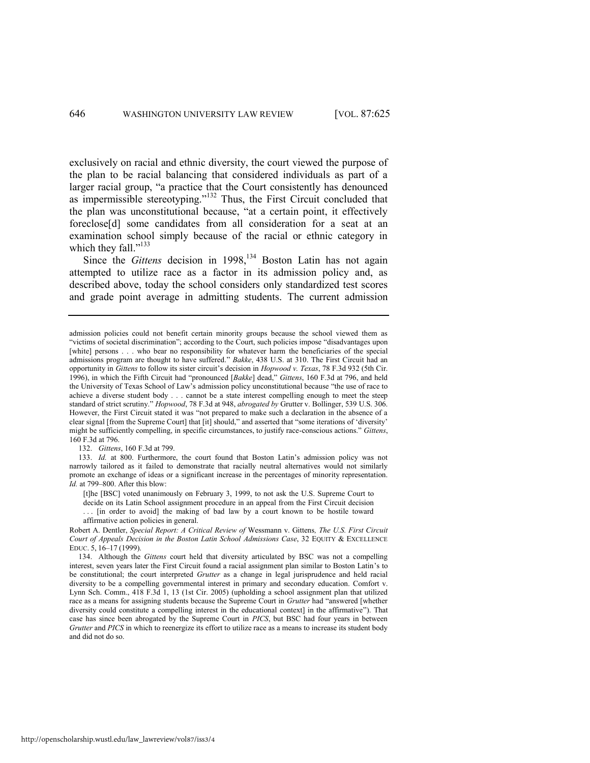exclusively on racial and ethnic diversity, the court viewed the purpose of the plan to be racial balancing that considered individuals as part of a larger racial group, "a practice that the Court consistently has denounced as impermissible stereotyping."<sup>132</sup> Thus, the First Circuit concluded that the plan was unconstitutional because, "at a certain point, it effectively foreclose[d] some candidates from all consideration for a seat at an examination school simply because of the racial or ethnic category in which they fall." $133$ 

Since the *Gittens* decision in 1998,<sup>134</sup> Boston Latin has not again attempted to utilize race as a factor in its admission policy and, as described above, today the school considers only standardized test scores and grade point average in admitting students. The current admission

132. *Gittens*, 160 F.3d at 799.

133. *Id.* at 800. Furthermore, the court found that Boston Latin's admission policy was not narrowly tailored as it failed to demonstrate that racially neutral alternatives would not similarly promote an exchange of ideas or a significant increase in the percentages of minority representation. *Id.* at 799–800. After this blow:

[t]he [BSC] voted unanimously on February 3, 1999, to not ask the U.S. Supreme Court to decide on its Latin School assignment procedure in an appeal from the First Circuit decision

. . . [in order to avoid] the making of bad law by a court known to be hostile toward affirmative action policies in general.

Robert A. Dentler, *Special Report: A Critical Review of* Wessmann v. Gittens*, The U.S. First Circuit Court of Appeals Decision in the Boston Latin School Admissions Case*, 32 EQUITY & EXCELLENCE EDUC. 5, 16–17 (1999).

http://openscholarship.wustl.edu/law\_lawreview/vol87/iss3/4

admission policies could not benefit certain minority groups because the school viewed them as "victims of societal discrimination"; according to the Court, such policies impose "disadvantages upon [white] persons . . . who bear no responsibility for whatever harm the beneficiaries of the special admissions program are thought to have suffered." Bakke, 438 U.S. at 310. The First Circuit had an opportunity in *Gittens* to follow its sister circuit's decision in *Hopwood v. Texas*, 78 F.3d 932 (5th Cir. 1996), in which the Fifth Circuit had "pronounced [*Bakke*] dead," *Gittens*, 160 F.3d at 796, and held the University of Texas School of Law's admission policy unconstitutional because "the use of race to achieve a diverse student body . . . cannot be a state interest compelling enough to meet the steep standard of strict scrutiny.‖ *Hopwood*, 78 F.3d at 948, *abrogated by* Grutter v. Bollinger, 539 U.S. 306. However, the First Circuit stated it was "not prepared to make such a declaration in the absence of a clear signal [from the Supreme Court] that [it] should," and asserted that "some iterations of 'diversity' might be sufficiently compelling, in specific circumstances, to justify race-conscious actions." *Gittens*, 160 F.3d at 796.

<sup>134.</sup> Although the *Gittens* court held that diversity articulated by BSC was not a compelling interest, seven years later the First Circuit found a racial assignment plan similar to Boston Latin's to be constitutional; the court interpreted *Grutter* as a change in legal jurisprudence and held racial diversity to be a compelling governmental interest in primary and secondary education. Comfort v. Lynn Sch. Comm., 418 F.3d 1, 13 (1st Cir. 2005) (upholding a school assignment plan that utilized race as a means for assigning students because the Supreme Court in *Grutter* had "answered [whether diversity could constitute a compelling interest in the educational context] in the affirmative"). That case has since been abrogated by the Supreme Court in *PICS*, but BSC had four years in between *Grutter* and *PICS* in which to reenergize its effort to utilize race as a means to increase its student body and did not do so.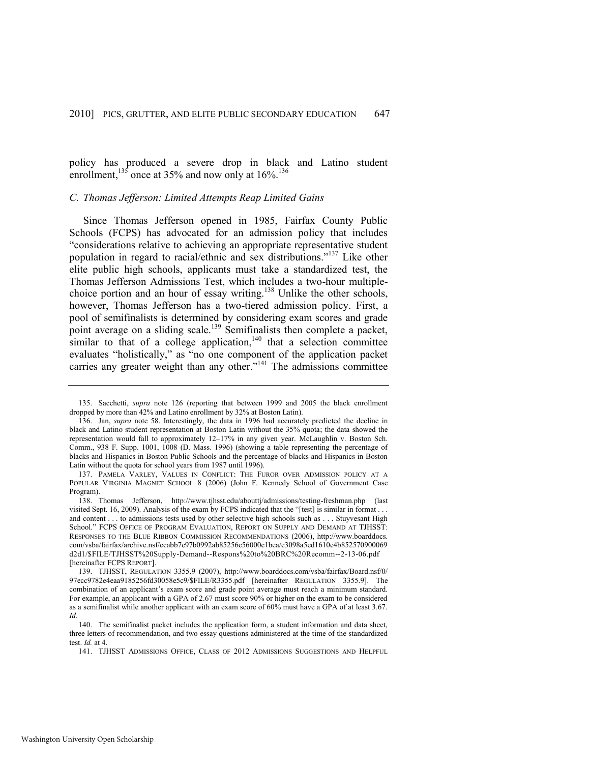policy has produced a severe drop in black and Latino student enrollment,  $^{135}$  once at 35% and now only at 16%.<sup>136</sup>

#### *C. Thomas Jefferson: Limited Attempts Reap Limited Gains*

<span id="page-23-2"></span><span id="page-23-1"></span>Since Thomas Jefferson opened in 1985, Fairfax County Public Schools (FCPS) has advocated for an admission policy that includes ―considerations relative to achieving an appropriate representative student population in regard to racial/ethnic and sex distributions."<sup>137</sup> Like other elite public high schools, applicants must take a standardized test, the Thomas Jefferson Admissions Test, which includes a two-hour multiplechoice portion and an hour of essay writing.<sup>138</sup> Unlike the other schools, however, Thomas Jefferson has a two-tiered admission policy. First, a pool of semifinalists is determined by considering exam scores and grade point average on a sliding scale.<sup>139</sup> Semifinalists then complete a packet, similar to that of a college application,<sup>140</sup> that a selection committee evaluates "holistically," as "no one component of the application packet carries any greater weight than any other." $141$  The admissions committee

<span id="page-23-4"></span><span id="page-23-3"></span><span id="page-23-0"></span><sup>135.</sup> Sacchetti, *supra* note [126](#page-21-1) (reporting that between 1999 and 2005 the black enrollment dropped by more than 42% and Latino enrollment by 32% at Boston Latin).

<sup>136.</sup> Jan, *supra* note [58.](#page-10-1) Interestingly, the data in 1996 had accurately predicted the decline in black and Latino student representation at Boston Latin without the 35% quota; the data showed the representation would fall to approximately 12–17% in any given year. McLaughlin v. Boston Sch. Comm., 938 F. Supp. 1001, 1008 (D. Mass. 1996) (showing a table representing the percentage of blacks and Hispanics in Boston Public Schools and the percentage of blacks and Hispanics in Boston Latin without the quota for school years from 1987 until 1996).

<sup>137.</sup> PAMELA VARLEY, VALUES IN CONFLICT: THE FUROR OVER ADMISSION POLICY AT A POPULAR VIRGINIA MAGNET SCHOOL 8 (2006) (John F. Kennedy School of Government Case Program).

<sup>138.</sup> Thomas Jefferson, http://www.tjhsst.edu/abouttj/admissions/testing-freshman.php (last visited Sept. 16, 2009). Analysis of the exam by FCPS indicated that the "[test] is similar in format . . . and content . . . to admissions tests used by other selective high schools such as . . . Stuyvesant High School." FCPS OFFICE OF PROGRAM EVALUATION, REPORT ON SUPPLY AND DEMAND AT TJHSST: RESPONSES TO THE BLUE RIBBON COMMISSION RECOMMENDATIONS (2006), http://www.boarddocs. com/vsba/fairfax/archive.nsf/ecabb7e97b0992ab85256e56000c1bea/e3098a5ed1610e4b852570900069 d2d1/\$FILE/TJHSST%20Supply-Demand--Respons%20to%20BRC%20Recomm--2-13-06.pdf [hereinafter FCPS REPORT].

<sup>139.</sup> TJHSST, REGULATION 3355.9 (2007), http://www.boarddocs.com/vsba/fairfax/Board.nsf/0/ 97ecc9782e4eaa9185256fd30058e5c9/\$FILE/R3355.pdf [hereinafter REGULATION 3355.9]. The combination of an applicant's exam score and grade point average must reach a minimum standard. For example, an applicant with a GPA of 2.67 must score 90% or higher on the exam to be considered as a semifinalist while another applicant with an exam score of 60% must have a GPA of at least 3.67. *Id.*

<sup>140.</sup> The semifinalist packet includes the application form, a student information and data sheet, three letters of recommendation, and two essay questions administered at the time of the standardized test. *Id.* at 4.

<sup>141.</sup> TJHSST ADMISSIONS OFFICE, CLASS OF 2012 ADMISSIONS SUGGESTIONS AND HELPFUL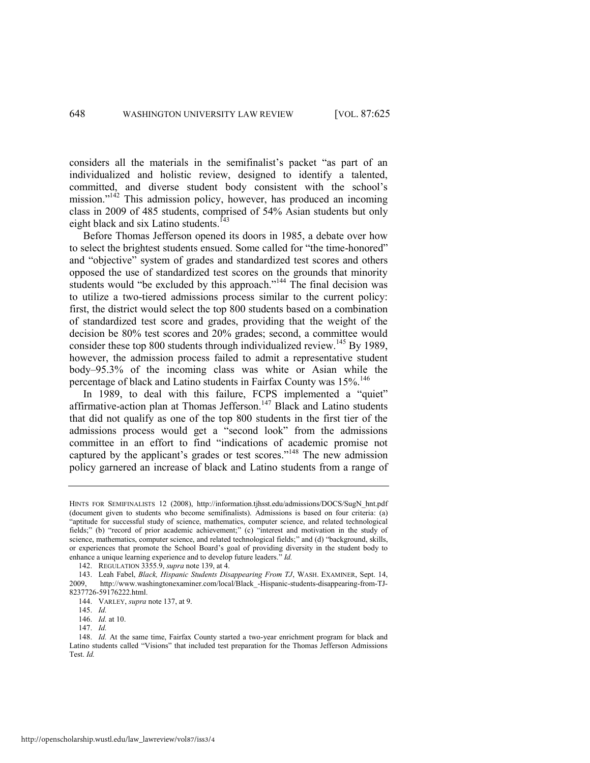considers all the materials in the semifinalist's packet "as part of an individualized and holistic review, designed to identify a talented, committed, and diverse student body consistent with the school's mission."<sup>142</sup> This admission policy, however, has produced an incoming class in 2009 of 485 students, comprised of 54% Asian students but only eight black and six Latino students.<sup>143</sup>

<span id="page-24-0"></span>Before Thomas Jefferson opened its doors in 1985, a debate over how to select the brightest students ensued. Some called for "the time-honored" and "objective" system of grades and standardized test scores and others opposed the use of standardized test scores on the grounds that minority students would "be excluded by this approach."<sup>144</sup> The final decision was to utilize a two-tiered admissions process similar to the current policy: first, the district would select the top 800 students based on a combination of standardized test score and grades, providing that the weight of the decision be 80% test scores and 20% grades; second, a committee would consider these top 800 students through individualized review.<sup>145</sup> By 1989, however, the admission process failed to admit a representative student body–95.3% of the incoming class was white or Asian while the percentage of black and Latino students in Fairfax County was 15%.<sup>146</sup>

In 1989, to deal with this failure, FCPS implemented a "quiet" affirmative-action plan at Thomas Jefferson.<sup>147</sup> Black and Latino students that did not qualify as one of the top 800 students in the first tier of the admissions process would get a "second look" from the admissions committee in an effort to find "indications of academic promise not captured by the applicant's grades or test scores."<sup>148</sup> The new admission policy garnered an increase of black and Latino students from a range of

HINTS FOR SEMIFINALISTS 12 (2008), http://information.tjhsst.edu/admissions/DOCS/SugN\_hnt.pdf (document given to students who become semifinalists). Admissions is based on four criteria: (a) ―aptitude for successful study of science, mathematics, computer science, and related technological fields;" (b) "record of prior academic achievement;" (c) "interest and motivation in the study of science, mathematics, computer science, and related technological fields;" and (d) "background, skills, or experiences that promote the School Board's goal of providing diversity in the student body to enhance a unique learning experience and to develop future leaders." *Id.* 

<sup>142.</sup> REGULATION 3355.9, *supra* note [139,](#page-23-0) at 4.

<sup>143.</sup> Leah Fabel, *Black, Hispanic Students Disappearing From TJ*, WASH. EXAMINER, Sept. 14, http://www.washingtonexaminer.com/local/Black -Hispanic-students-disappearing-from-TJ-8237726-59176222.html.

<sup>144.</sup> VARLEY, *supra* not[e 137,](#page-23-1) at 9.

<sup>145.</sup> *Id.*

<sup>146.</sup> *Id.* at 10.

<sup>147.</sup> *Id.*

<sup>148.</sup> *Id.* At the same time, Fairfax County started a two-year enrichment program for black and Latino students called "Visions" that included test preparation for the Thomas Jefferson Admissions Test. *Id.*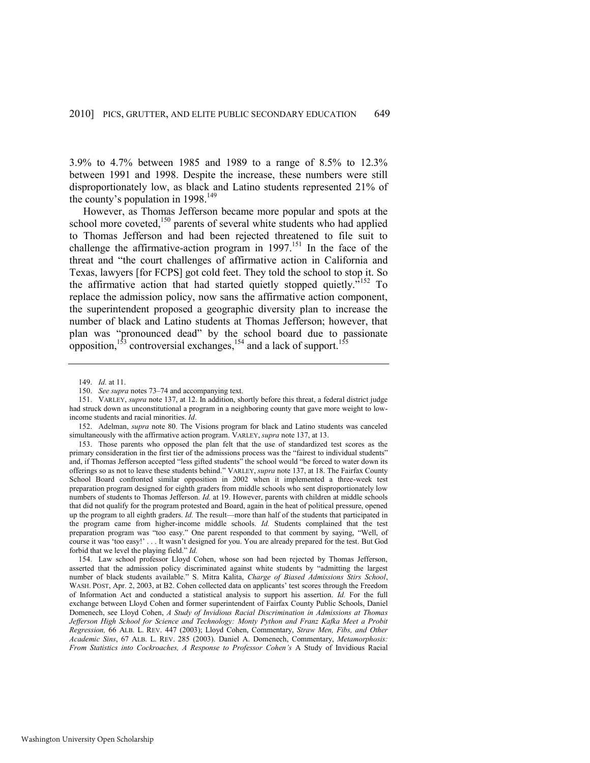3.9% to 4.7% between 1985 and 1989 to a range of 8.5% to 12.3% between 1991 and 1998. Despite the increase, these numbers were still disproportionately low, as black and Latino students represented 21% of the county's population in  $1998$ .<sup>149</sup>

However, as Thomas Jefferson became more popular and spots at the school more coveted,<sup>150</sup> parents of several white students who had applied to Thomas Jefferson and had been rejected threatened to file suit to challenge the affirmative-action program in  $1997$ <sup>151</sup>. In the face of the threat and "the court challenges of affirmative action in California and Texas, lawyers [for FCPS] got cold feet. They told the school to stop it. So the affirmative action that had started quietly stopped quietly.<sup> $152$ </sup> To replace the admission policy, now sans the affirmative action component, the superintendent proposed a geographic diversity plan to increase the number of black and Latino students at Thomas Jefferson; however, that plan was "pronounced dead" by the school board due to passionate opposition,  $153$  controversial exchanges,  $154$  and a lack of support.<sup>155</sup>

<sup>149.</sup> *Id.* at 11.

<sup>150.</sup> *See supra* note[s 73](#page-12-0)–[74 a](#page-12-1)nd accompanying text.

<sup>151.</sup> VARLEY, *supra* not[e 137,](#page-23-1) at 12. In addition, shortly before this threat, a federal district judge had struck down as unconstitutional a program in a neighboring county that gave more weight to lowincome students and racial minorities. *Id*.

<sup>152.</sup> Adelman, *supra* note [80.](#page-13-0) The Visions program for black and Latino students was canceled simultaneously with the affirmative action program. VARLEY, *supra* not[e 137,](#page-23-1) at 13.

<sup>153.</sup> Those parents who opposed the plan felt that the use of standardized test scores as the primary consideration in the first tier of the admissions process was the "fairest to individual students" and, if Thomas Jefferson accepted "less gifted students" the school would "be forced to water down its offerings so as not to leave these students behind.‖ VARLEY, *supra* not[e 137,](#page-23-1) at 18. The Fairfax County School Board confronted similar opposition in 2002 when it implemented a three-week test preparation program designed for eighth graders from middle schools who sent disproportionately low numbers of students to Thomas Jefferson. *Id.* at 19. However, parents with children at middle schools that did not qualify for the program protested and Board, again in the heat of political pressure, opened up the program to all eighth graders. *Id.* The result—more than half of the students that participated in the program came from higher-income middle schools. *Id.* Students complained that the test preparation program was "too easy." One parent responded to that comment by saying, "Well, of course it was 'too easy!' . . . It wasn't designed for you. You are already prepared for the test. But God forbid that we level the playing field." *Id.* 

<sup>154.</sup> Law school professor Lloyd Cohen, whose son had been rejected by Thomas Jefferson, asserted that the admission policy discriminated against white students by "admitting the largest number of black students available.‖ S. Mitra Kalita, *Charge of Biased Admissions Stirs School*, WASH. POST, Apr. 2, 2003, at B2. Cohen collected data on applicants' test scores through the Freedom of Information Act and conducted a statistical analysis to support his assertion. *Id.* For the full exchange between Lloyd Cohen and former superintendent of Fairfax County Public Schools, Daniel Domenech, see Lloyd Cohen, *A Study of Invidious Racial Discrimination in Admissions at Thomas*  Jefferson High School for Science and Technology: Monty Python and Franz Kafka Meet a Probit *Regression,* 66 ALB. L. REV. 447 (2003); Lloyd Cohen, Commentary, *Straw Men, Fibs, and Other Academic Sins*, 67 ALB. L. REV. 285 (2003). Daniel A. Domenech, Commentary, *Metamorphosis: From Statistics into Cockroaches, A Response to Professor Cohen's* A Study of Invidious Racial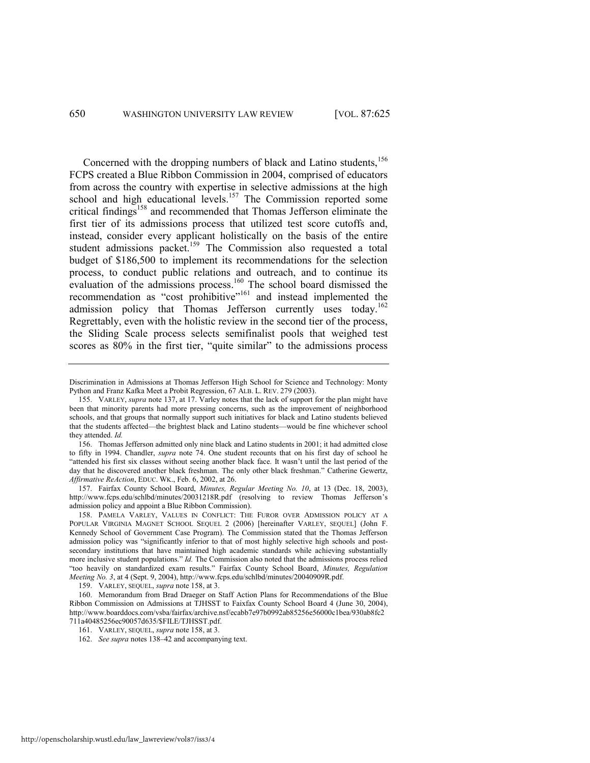<span id="page-26-0"></span>Concerned with the dropping numbers of black and Latino students.<sup>156</sup> FCPS created a Blue Ribbon Commission in 2004, comprised of educators from across the country with expertise in selective admissions at the high school and high educational levels.<sup>157</sup> The Commission reported some critical findings<sup>158</sup> and recommended that Thomas Jefferson eliminate the first tier of its admissions process that utilized test score cutoffs and, instead, consider every applicant holistically on the basis of the entire student admissions packet.<sup>159</sup> The Commission also requested a total budget of \$186,500 to implement its recommendations for the selection process, to conduct public relations and outreach, and to continue its evaluation of the admissions process.<sup>160</sup> The school board dismissed the recommendation as "cost prohibitive"<sup>161</sup> and instead implemented the admission policy that Thomas Jefferson currently uses today.<sup>162</sup> Regrettably, even with the holistic review in the second tier of the process, the Sliding Scale process selects semifinalist pools that weighed test scores as 80% in the first tier, "quite similar" to the admissions process

157. Fairfax County School Board, *Minutes, Regular Meeting No. 10*, at 13 (Dec. 18, 2003), http://www.fcps.edu/schlbd/minutes/20031218R.pdf (resolving to review Thomas Jefferson's admission policy and appoint a Blue Ribbon Commission).

159. VARLEY, SEQUEL, *supra* not[e 158,](#page-26-0) at 3.

Discrimination in Admissions at Thomas Jefferson High School for Science and Technology: Monty Python and Franz Kafka Meet a Probit Regression, 67 ALB. L. REV. 279 (2003).

<sup>155.</sup> VARLEY, *supra* note [137,](#page-23-1) at 17. Varley notes that the lack of support for the plan might have been that minority parents had more pressing concerns, such as the improvement of neighborhood schools, and that groups that normally support such initiatives for black and Latino students believed that the students affected—the brightest black and Latino students—would be fine whichever school they attended. *Id.*

<sup>156.</sup> Thomas Jefferson admitted only nine black and Latino students in 2001; it had admitted close to fifty in 1994. Chandler, *supra* note [74.](#page-12-1) One student recounts that on his first day of school he "attended his first six classes without seeing another black face. It wasn't until the last period of the day that he discovered another black freshman. The only other black freshman." Catherine Gewertz, *Affirmative ReAction*, EDUC. WK., Feb. 6, 2002, at 26.

<sup>158.</sup> PAMELA VARLEY, VALUES IN CONFLICT: THE FUROR OVER ADMISSION POLICY AT A POPULAR VIRGINIA MAGNET SCHOOL SEQUEL 2 (2006) [hereinafter VARLEY, SEQUEL] (John F. Kennedy School of Government Case Program). The Commission stated that the Thomas Jefferson admission policy was "significantly inferior to that of most highly selective high schools and postsecondary institutions that have maintained high academic standards while achieving substantially more inclusive student populations." *Id.* The Commission also noted that the admissions process relied ―too heavily on standardized exam results.‖ Fairfax County School Board, *Minutes, Regulation Meeting No. 3*, at 4 (Sept. 9, 2004), http://www.fcps.edu/schlbd/minutes/20040909R.pdf.

<sup>160.</sup> Memorandum from Brad Draeger on Staff Action Plans for Recommendations of the Blue Ribbon Commission on Admissions at TJHSST to Faixfax County School Board 4 (June 30, 2004), http://www.boarddocs.com/vsba/fairfax/archive.nsf/ecabb7e97b0992ab85256e56000c1bea/930ab8fc2 711a40485256ec90057d635/\$FILE/TJHSST.pdf.

<sup>161.</sup> VARLEY, SEQUEL, *supra* not[e 158,](#page-26-0) at 3.

<sup>162.</sup> *See supra* note[s 138](#page-23-2)–42 and accompanying text.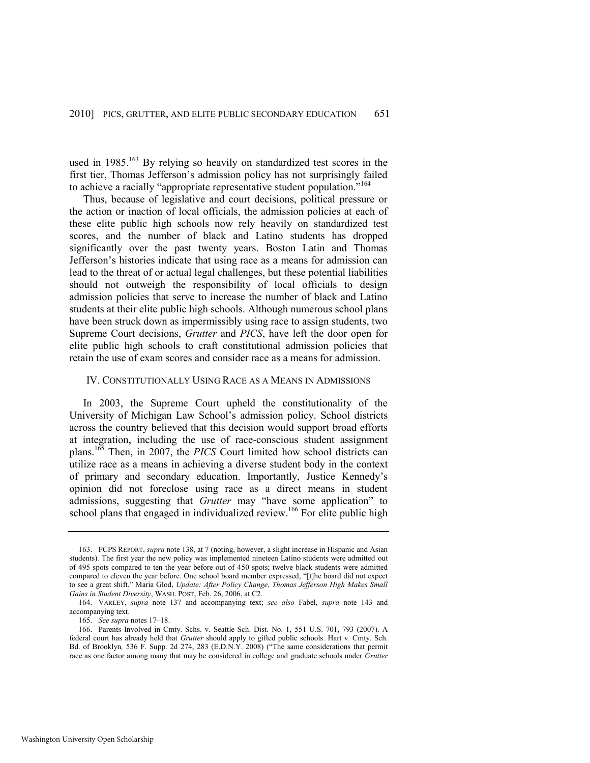used in  $1985$ <sup>163</sup> By relying so heavily on standardized test scores in the first tier, Thomas Jefferson's admission policy has not surprisingly failed to achieve a racially "appropriate representative student population."<sup>164</sup>

Thus, because of legislative and court decisions, political pressure or the action or inaction of local officials, the admission policies at each of these elite public high schools now rely heavily on standardized test scores, and the number of black and Latino students has dropped significantly over the past twenty years. Boston Latin and Thomas Jefferson's histories indicate that using race as a means for admission can lead to the threat of or actual legal challenges, but these potential liabilities should not outweigh the responsibility of local officials to design admission policies that serve to increase the number of black and Latino students at their elite public high schools. Although numerous school plans have been struck down as impermissibly using race to assign students, two Supreme Court decisions, *Grutter* and *PICS*, have left the door open for elite public high schools to craft constitutional admission policies that retain the use of exam scores and consider race as a means for admission.

#### IV. CONSTITUTIONALLY USING RACE AS A MEANS IN ADMISSIONS

In 2003, the Supreme Court upheld the constitutionality of the University of Michigan Law School's admission policy. School districts across the country believed that this decision would support broad efforts at integration, including the use of race-conscious student assignment plans.<sup>165</sup> Then, in 2007, the *PICS* Court limited how school districts can utilize race as a means in achieving a diverse student body in the context of primary and secondary education. Importantly, Justice Kennedy's opinion did not foreclose using race as a direct means in student admissions, suggesting that *Grutter* may "have some application" to school plans that engaged in individualized review.<sup>166</sup> For elite public high

<sup>163.</sup> FCPS REPORT, *supra* note [138,](#page-23-2) at 7 (noting, however, a slight increase in Hispanic and Asian students). The first year the new policy was implemented nineteen Latino students were admitted out of 495 spots compared to ten the year before out of 450 spots; twelve black students were admitted compared to eleven the year before. One school board member expressed, "[t]he board did not expect to see a great shift." Maria Glod, *Update: After Policy Change, Thomas Jefferson High Makes Small Gains in Student Diversity*, WASH. POST, Feb. 26, 2006, at C2.

<sup>164.</sup> VARLEY, *supra* note [137](#page-23-1) and accompanying text; *see also* Fabel, *supra* note [143](#page-24-0) and accompanying text.

<sup>165.</sup> *See supra* note[s 17](#page-4-1)–[18.](#page-4-2) 

<sup>166.</sup> Parents Involved in Cmty. Schs. v. Seattle Sch. Dist. No. 1, 551 U.S. 701, 793 (2007). A federal court has already held that *Grutter* should apply to gifted public schools. Hart v. Cmty. Sch. Bd. of Brooklyn, 536 F. Supp. 2d 274, 283 (E.D.N.Y. 2008) ("The same considerations that permit race as one factor among many that may be considered in college and graduate schools under *Grutter*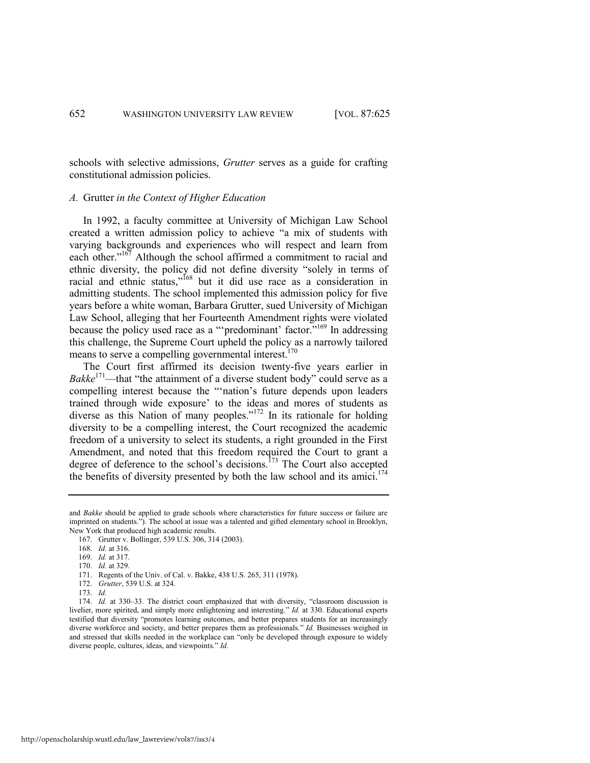schools with selective admissions, *Grutter* serves as a guide for crafting constitutional admission policies.

# *A.* Grutter *in the Context of Higher Education*

In 1992, a faculty committee at University of Michigan Law School created a written admission policy to achieve "a mix of students with varying backgrounds and experiences who will respect and learn from each other."<sup>167</sup> Although the school affirmed a commitment to racial and ethnic diversity, the policy did not define diversity "solely in terms of racial and ethnic status," $168$  but it did use race as a consideration in admitting students. The school implemented this admission policy for five years before a white woman, Barbara Grutter, sued University of Michigan Law School, alleging that her Fourteenth Amendment rights were violated because the policy used race as a "'predominant' factor."<sup>169</sup> In addressing this challenge, the Supreme Court upheld the policy as a narrowly tailored means to serve a compelling governmental interest.<sup>170</sup>

<span id="page-28-1"></span>The Court first affirmed its decision twenty-five years earlier in *Bakke*<sup>171</sup>—that "the attainment of a diverse student body" could serve as a compelling interest because the ""nation's future depends upon leaders trained through wide exposure' to the ideas and mores of students as diverse as this Nation of many peoples."<sup>172</sup> In its rationale for holding diversity to be a compelling interest, the Court recognized the academic freedom of a university to select its students, a right grounded in the First Amendment, and noted that this freedom required the Court to grant a degree of deference to the school's decisions.<sup>173</sup> The Court also accepted the benefits of diversity presented by both the law school and its amici.<sup>174</sup>

http://openscholarship.wustl.edu/law\_lawreview/vol87/iss3/4

<span id="page-28-0"></span>and *Bakke* should be applied to grade schools where characteristics for future success or failure are imprinted on students."). The school at issue was a talented and gifted elementary school in Brooklyn, New York that produced high academic results.

<sup>167.</sup> Grutter v. Bollinger, 539 U.S. 306, 314 (2003).

<span id="page-28-2"></span><sup>168.</sup> *Id.* at 316.

<sup>169.</sup> *Id.* at 317.

<sup>170.</sup> *Id.* at 329.

<sup>171.</sup> Regents of the Univ. of Cal. v. Bakke, 438 U.S. 265, 311 (1978).

<sup>172.</sup> *Grutter*, 539 U.S. at 324.

<sup>173.</sup> *Id.* 

<sup>174.</sup> *Id.* at 330–33. The district court emphasized that with diversity, "classroom discussion is livelier, more spirited, and simply more enlightening and interesting." *Id.* at 330. Educational experts testified that diversity "promotes learning outcomes, and better prepares students for an increasingly diverse workforce and society, and better prepares them as professionals." *Id.* Businesses weighed in and stressed that skills needed in the workplace can "only be developed through exposure to widely diverse people, cultures, ideas, and viewpoints." *Id.*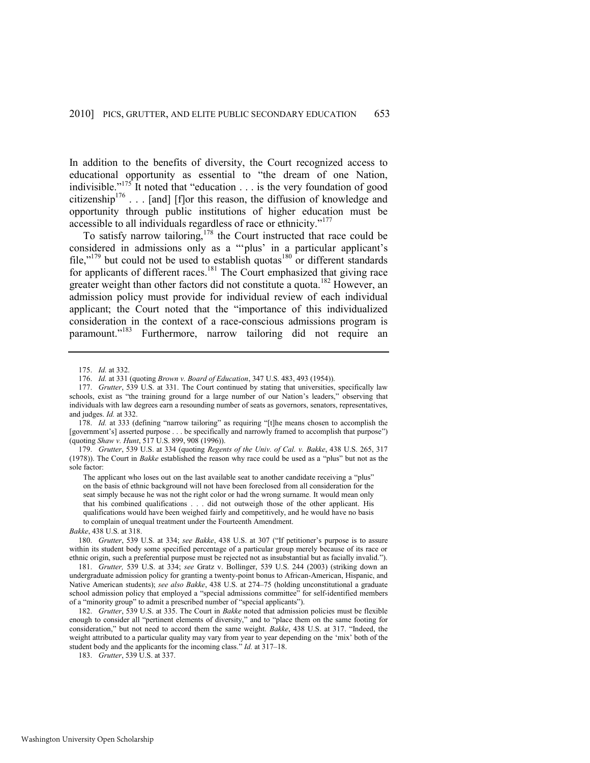In addition to the benefits of diversity, the Court recognized access to educational opportunity as essential to "the dream of one Nation, indivisible."<sup>175</sup> It noted that "education  $\dots$  is the very foundation of good citizenship<sup>176</sup> . . . [and] [f]or this reason, the diffusion of knowledge and opportunity through public institutions of higher education must be accessible to all individuals regardless of race or ethnicity."<sup>177</sup>

<span id="page-29-0"></span>To satisfy narrow tailoring,<sup>178</sup> the Court instructed that race could be considered in admissions only as a "plus' in a particular applicant's file,"<sup>179</sup> but could not be used to establish quotas<sup>180</sup> or different standards for applicants of different races.<sup>181</sup> The Court emphasized that giving race greater weight than other factors did not constitute a quota.<sup>182</sup> However, an admission policy must provide for individual review of each individual applicant; the Court noted that the "importance of this individualized consideration in the context of a race-conscious admissions program is paramount."<sup>183</sup> Furthermore, narrow tailoring did not require an

179. *Grutter*, 539 U.S. at 334 (quoting *Regents of the Univ. of Cal. v. Bakke*, 438 U.S. 265, 317 (1978)). The Court in *Bakke* established the reason why race could be used as a "plus" but not as the sole factor:

The applicant who loses out on the last available seat to another candidate receiving a "plus" on the basis of ethnic background will not have been foreclosed from all consideration for the seat simply because he was not the right color or had the wrong surname. It would mean only that his combined qualifications . . . did not outweigh those of the other applicant. His qualifications would have been weighed fairly and competitively, and he would have no basis to complain of unequal treatment under the Fourteenth Amendment.

*Bakke*, 438 U.S. at 318.

180. *Grutter*, 539 U.S. at 334; *see Bakke*, 438 U.S. at 307 ("If petitioner's purpose is to assure within its student body some specified percentage of a particular group merely because of its race or ethnic origin, such a preferential purpose must be rejected not as insubstantial but as facially invalid.").

<sup>175.</sup> *Id.* at 332.

<sup>176.</sup> *Id.* at 331 (quoting *Brown v. Board of Education*, 347 U.S. 483, 493 (1954)).

<sup>177.</sup> *Grutter*, 539 U.S. at 331. The Court continued by stating that universities, specifically law schools, exist as "the training ground for a large number of our Nation's leaders," observing that individuals with law degrees earn a resounding number of seats as governors, senators, representatives, and judges. *Id.* at 332.

<sup>178.</sup> *Id.* at 333 (defining "narrow tailoring" as requiring "[t]he means chosen to accomplish the [government's] asserted purpose . . . be specifically and narrowly framed to accomplish that purpose") (quoting *Shaw v. Hunt*, 517 U.S. 899, 908 (1996)).

<sup>181.</sup> *Grutter,* 539 U.S. at 334; *see* Gratz v. Bollinger, 539 U.S. 244 (2003) (striking down an undergraduate admission policy for granting a twenty-point bonus to African-American, Hispanic, and Native American students); *see also Bakke*, 438 U.S. at 274–75 (holding unconstitutional a graduate school admission policy that employed a "special admissions committee" for self-identified members of a "minority group" to admit a prescribed number of "special applicants").

<sup>182.</sup> *Grutter*, 539 U.S. at 335. The Court in *Bakke* noted that admission policies must be flexible enough to consider all "pertinent elements of diversity," and to "place them on the same footing for consideration," but not need to accord them the same weight. *Bakke*, 438 U.S. at 317. "Indeed, the weight attributed to a particular quality may vary from year to year depending on the 'mix' both of the student body and the applicants for the incoming class." *Id.* at 317–18.

<sup>183.</sup> *Grutter*, 539 U.S. at 337.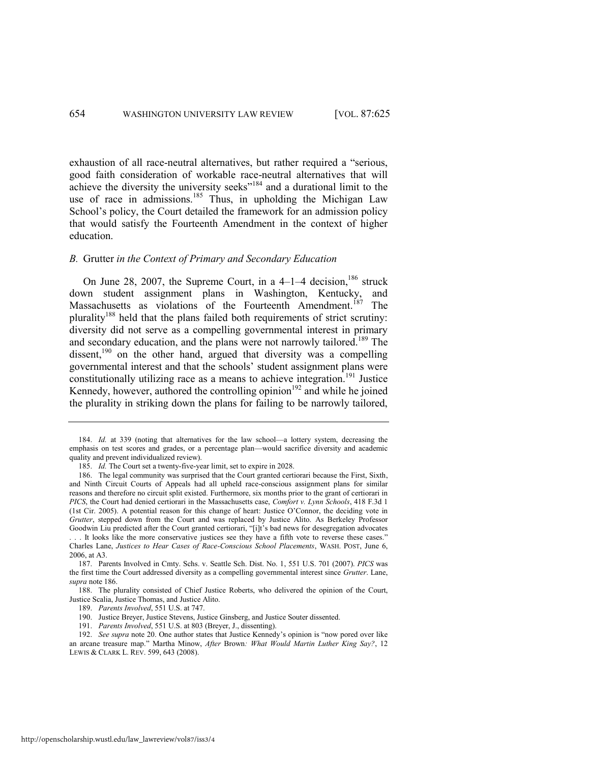<span id="page-30-3"></span><span id="page-30-2"></span>exhaustion of all race-neutral alternatives, but rather required a "serious, good faith consideration of workable race-neutral alternatives that will achieve the diversity the university seeks"<sup>184</sup> and a durational limit to the use of race in admissions.<sup>185</sup> Thus, in upholding the Michigan Law School's policy, the Court detailed the framework for an admission policy that would satisfy the Fourteenth Amendment in the context of higher education.

# *B.* Grutter *in the Context of Primary and Secondary Education*

<span id="page-30-0"></span>On June 28, 2007, the Supreme Court, in a  $4-1-4$  decision,  $186$  struck down student assignment plans in Washington, Kentucky, and Massachusetts as violations of the Fourteenth Amendment.<sup>187</sup> The plurality<sup>188</sup> held that the plans failed both requirements of strict scrutiny: diversity did not serve as a compelling governmental interest in primary and secondary education, and the plans were not narrowly tailored.<sup>189</sup> The dissent,<sup>190</sup> on the other hand, argued that diversity was a compelling governmental interest and that the schools' student assignment plans were constitutionally utilizing race as a means to achieve integration.<sup>191</sup> Justice Kennedy, however, authored the controlling opinion $192$  and while he joined the plurality in striking down the plans for failing to be narrowly tailored,

<sup>184.</sup> *Id.* at 339 (noting that alternatives for the law school—a lottery system, decreasing the emphasis on test scores and grades, or a percentage plan—would sacrifice diversity and academic quality and prevent individualized review).

<span id="page-30-1"></span><sup>185.</sup> *Id.* The Court set a twenty-five-year limit, set to expire in 2028.

<sup>186.</sup> The legal community was surprised that the Court granted certiorari because the First, Sixth, and Ninth Circuit Courts of Appeals had all upheld race-conscious assignment plans for similar reasons and therefore no circuit split existed. Furthermore, six months prior to the grant of certiorari in *PICS*, the Court had denied certiorari in the Massachusetts case, *Comfort v. Lynn Schools*, 418 F.3d 1 (1st Cir. 2005). A potential reason for this change of heart: Justice O'Connor, the deciding vote in *Grutter*, stepped down from the Court and was replaced by Justice Alito. As Berkeley Professor Goodwin Liu predicted after the Court granted certiorari, "[i]t's bad news for desegregation advocates . . It looks like the more conservative justices see they have a fifth vote to reverse these cases. Charles Lane, *Justices to Hear Cases of Race-Conscious School Placements*, WASH. POST, June 6, 2006, at A3.

<sup>187.</sup> Parents Involved in Cmty. Schs. v. Seattle Sch. Dist. No. 1, 551 U.S. 701 (2007). *PICS* was the first time the Court addressed diversity as a compelling governmental interest since *Grutter*. Lane, *supra* not[e 186.](#page-30-0)

<sup>188.</sup> The plurality consisted of Chief Justice Roberts, who delivered the opinion of the Court, Justice Scalia, Justice Thomas, and Justice Alito.

<sup>189.</sup> *Parents Involved*, 551 U.S. at 747.

<sup>190.</sup> Justice Breyer, Justice Stevens, Justice Ginsberg, and Justice Souter dissented.

<sup>191.</sup> *Parents Involved*, 551 U.S. at 803 (Breyer, J., dissenting).

<sup>192.</sup> *See supra* not[e 20.](#page-4-3) One author states that Justice Kennedy's opinion is "now pored over like an arcane treasure map.‖ Martha Minow, *After* Brown*: What Would Martin Luther King Say?*, 12 LEWIS & CLARK L. REV. 599, 643 (2008).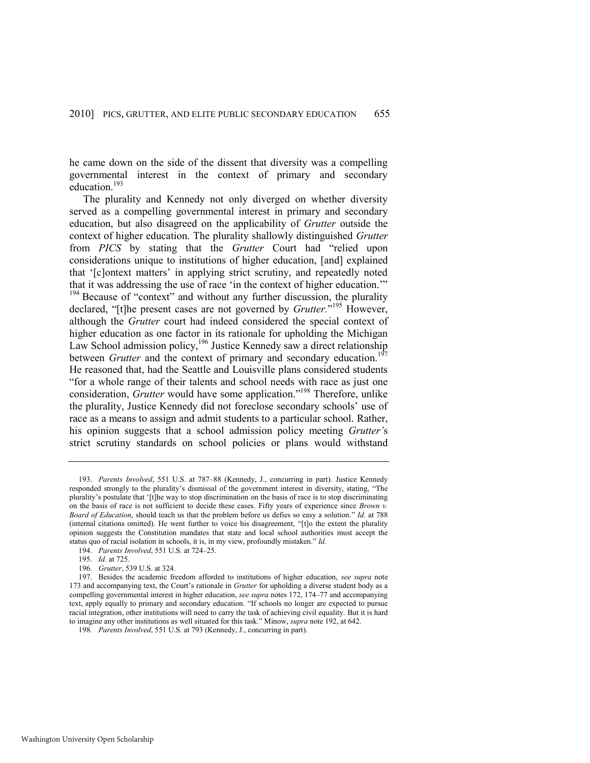he came down on the side of the dissent that diversity was a compelling governmental interest in the context of primary and secondary education.<sup>193</sup>

The plurality and Kennedy not only diverged on whether diversity served as a compelling governmental interest in primary and secondary education, but also disagreed on the applicability of *Grutter* outside the context of higher education. The plurality shallowly distinguished *Grutter* from *PICS* by stating that the *Grutter* Court had "relied upon considerations unique to institutions of higher education, [and] explained that ‗[c]ontext matters' in applying strict scrutiny, and repeatedly noted that it was addressing the use of race 'in the context of higher education.'"  $194$  Because of "context" and without any further discussion, the plurality declared, "[t]he present cases are not governed by *Grutter*."<sup>195</sup> However, although the *Grutter* court had indeed considered the special context of higher education as one factor in its rationale for upholding the Michigan Law School admission policy,<sup>196</sup> Justice Kennedy saw a direct relationship between *Grutter* and the context of primary and secondary education.<sup>19</sup> He reasoned that, had the Seattle and Louisville plans considered students ―for a whole range of their talents and school needs with race as just one consideration, *Grutter* would have some application.<sup>198</sup> Therefore, unlike the plurality, Justice Kennedy did not foreclose secondary schools' use of race as a means to assign and admit students to a particular school. Rather, his opinion suggests that a school admission policy meeting *Grutter'*s strict scrutiny standards on school policies or plans would withstand

<sup>193.</sup> *Parents Involved*, 551 U.S. at 787–88 (Kennedy, J., concurring in part). Justice Kennedy responded strongly to the plurality's dismissal of the government interest in diversity, stating, "The plurality's postulate that ‗[t]he way to stop discrimination on the basis of race is to stop discriminating on the basis of race is not sufficient to decide these cases. Fifty years of experience since *Brown v. Board of Education*, should teach us that the problem before us defies so easy a solution." *Id.* at 788 (internal citations omitted). He went further to voice his disagreement, "[t]o the extent the plurality opinion suggests the Constitution mandates that state and local school authorities must accept the status quo of racial isolation in schools, it is, in my view, profoundly mistaken." Id.

<sup>194.</sup> *Parents Involved*, 551 U.S. at 724–25.

<sup>195.</sup> *Id.* at 725.

<sup>196.</sup> *Grutter*, 539 U.S. at 324.

<sup>197.</sup> Besides the academic freedom afforded to institutions of higher education, *see supra* note [173](#page-28-0) and accompanying text, the Court's rationale in *Grutter* for upholding a diverse student body as a compelling governmental interest in higher education, *see supra* notes [172,](#page-28-1) [174](#page-28-2)–77 and accompanying text, apply equally to primary and secondary education. "If schools no longer are expected to pursue racial integration, other institutions will need to carry the task of achieving civil equality. But it is hard to imagine any other institutions as well situated for this task.‖ Minow, *supra* not[e 192,](#page-30-1) at 642.

<sup>198</sup>*. Parents Involved*, 551 U.S. at 793 (Kennedy, J., concurring in part).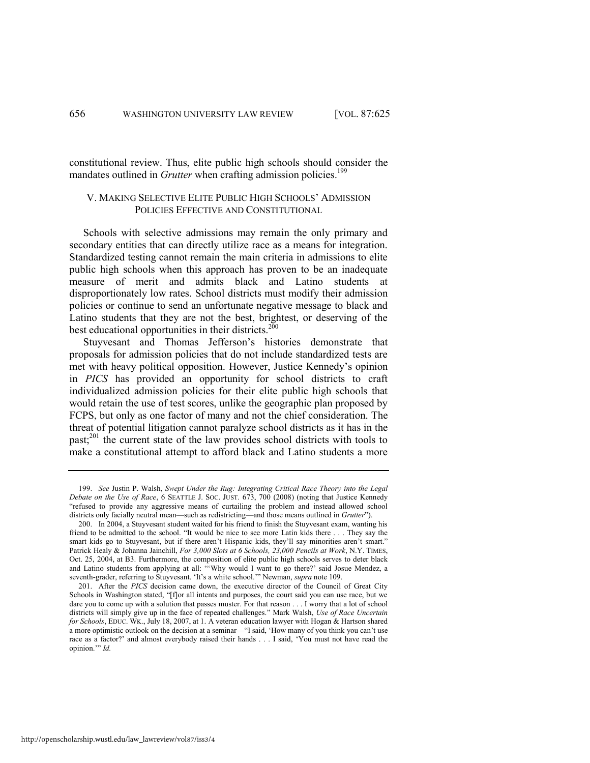constitutional review. Thus, elite public high schools should consider the mandates outlined in *Grutter* when crafting admission policies.<sup>199</sup>

# <span id="page-32-0"></span>V. MAKING SELECTIVE ELITE PUBLIC HIGH SCHOOLS' ADMISSION POLICIES EFFECTIVE AND CONSTITUTIONAL

Schools with selective admissions may remain the only primary and secondary entities that can directly utilize race as a means for integration. Standardized testing cannot remain the main criteria in admissions to elite public high schools when this approach has proven to be an inadequate measure of merit and admits black and Latino students at disproportionately low rates. School districts must modify their admission policies or continue to send an unfortunate negative message to black and Latino students that they are not the best, brightest, or deserving of the best educational opportunities in their districts.<sup>200</sup>

Stuyvesant and Thomas Jefferson's histories demonstrate that proposals for admission policies that do not include standardized tests are met with heavy political opposition. However, Justice Kennedy's opinion in *PICS* has provided an opportunity for school districts to craft individualized admission policies for their elite public high schools that would retain the use of test scores, unlike the geographic plan proposed by FCPS, but only as one factor of many and not the chief consideration. The threat of potential litigation cannot paralyze school districts as it has in the past;<sup>201</sup> the current state of the law provides school districts with tools to make a constitutional attempt to afford black and Latino students a more

<sup>199.</sup> *See* Justin P. Walsh, *Swept Under the Rug: Integrating Critical Race Theory into the Legal Debate on the Use of Race*, 6 SEATTLE J. SOC. JUST. 673, 700 (2008) (noting that Justice Kennedy ―refused to provide any aggressive means of curtailing the problem and instead allowed school districts only facially neutral mean—such as redistricting—and those means outlined in *Grutter*").

<sup>200.</sup> In 2004, a Stuyvesant student waited for his friend to finish the Stuyvesant exam, wanting his friend to be admitted to the school. "It would be nice to see more Latin kids there . . . They say the smart kids go to Stuyvesant, but if there aren't Hispanic kids, they'll say minorities aren't smart." Patrick Healy & Johanna Jainchill, *For 3,000 Slots at 6 Schools, 23,000 Pencils at Work*, N.Y. TIMES, Oct. 25, 2004, at B3. Furthermore, the composition of elite public high schools serves to deter black and Latino students from applying at all: "Why would I want to go there?' said Josue Mendez, a seventh-grader, referring to Stuyvesant. 'It's a white school.'" Newman, *supra* note 109.

<sup>201.</sup> After the *PICS* decision came down, the executive director of the Council of Great City Schools in Washington stated, "[f]or all intents and purposes, the court said you can use race, but we dare you to come up with a solution that passes muster. For that reason . . . I worry that a lot of school districts will simply give up in the face of repeated challenges." Mark Walsh, *Use of Race Uncertain for Schools*, EDUC. WK., July 18, 2007, at 1. A veteran education lawyer with Hogan & Hartson shared a more optimistic outlook on the decision at a seminar—"I said, 'How many of you think you can't use race as a factor?' and almost everybody raised their hands . . . I said, ‗You must not have read the opinion." *Id.*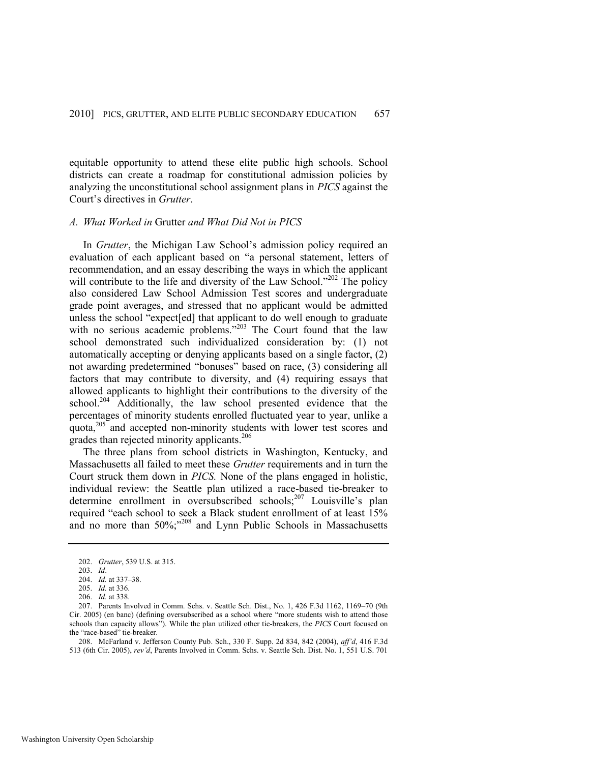equitable opportunity to attend these elite public high schools. School districts can create a roadmap for constitutional admission policies by analyzing the unconstitutional school assignment plans in *PICS* against the Court's directives in *Grutter*.

# *A. What Worked in* Grutter *and What Did Not in PICS*

In *Grutter*, the Michigan Law School's admission policy required an evaluation of each applicant based on "a personal statement, letters of recommendation, and an essay describing the ways in which the applicant will contribute to the life and diversity of the Law School.<sup>2202</sup> The policy also considered Law School Admission Test scores and undergraduate grade point averages, and stressed that no applicant would be admitted unless the school "expect[ed] that applicant to do well enough to graduate with no serious academic problems."<sup>203</sup> The Court found that the law school demonstrated such individualized consideration by: (1) not automatically accepting or denying applicants based on a single factor, (2) not awarding predetermined "bonuses" based on race, (3) considering all factors that may contribute to diversity, and (4) requiring essays that allowed applicants to highlight their contributions to the diversity of the school.<sup>204</sup> Additionally, the law school presented evidence that the percentages of minority students enrolled fluctuated year to year, unlike a quota,<sup>205</sup> and accepted non-minority students with lower test scores and grades than rejected minority applicants.<sup>206</sup>

The three plans from school districts in Washington, Kentucky, and Massachusetts all failed to meet these *Grutter* requirements and in turn the Court struck them down in *PICS.* None of the plans engaged in holistic, individual review: the Seattle plan utilized a race-based tie-breaker to determine enrollment in oversubscribed schools;<sup>207</sup> Louisville's plan required "each school to seek a Black student enrollment of at least 15% and no more than  $50\%$ ;<sup>208</sup> and Lynn Public Schools in Massachusetts

208. McFarland v. Jefferson County Pub. Sch., 330 F. Supp. 2d 834, 842 (2004), *aff'd*, 416 F.3d 513 (6th Cir. 2005), *rev'd*, Parents Involved in Comm. Schs. v. Seattle Sch. Dist. No. 1, 551 U.S. 701

<sup>202.</sup> *Grutter*, 539 U.S. at 315.

<sup>203.</sup> *Id*.

<sup>204.</sup> *Id.* at 337–38.

<sup>205.</sup> *Id.* at 336.

<sup>206.</sup> *Id.* at 338.

<sup>207.</sup> Parents Involved in Comm. Schs. v. Seattle Sch. Dist., No. 1, 426 F.3d 1162, 1169–70 (9th Cir. 2005) (en banc) (defining oversubscribed as a school where "more students wish to attend those schools than capacity allows"). While the plan utilized other tie-breakers, the PICS Court focused on the "race-based" tie-breaker.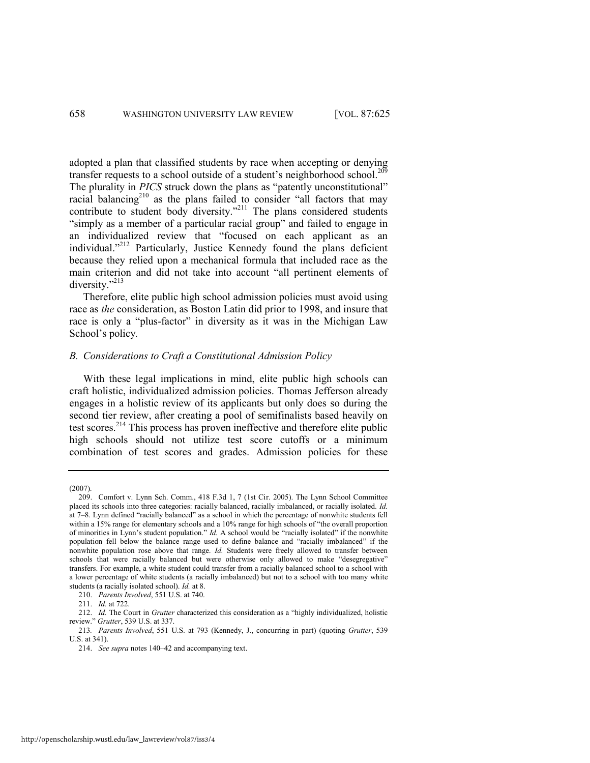adopted a plan that classified students by race when accepting or denying transfer requests to a school outside of a student's neighborhood school.<sup>209</sup> The plurality in *PICS* struck down the plans as "patently unconstitutional" racial balancing<sup>210</sup> as the plans failed to consider "all factors that may contribute to student body diversity."<sup>211</sup> The plans considered students "simply as a member of a particular racial group" and failed to engage in an individualized review that "focused on each applicant as an individual."<sup>212</sup> Particularly, Justice Kennedy found the plans deficient because they relied upon a mechanical formula that included race as the main criterion and did not take into account "all pertinent elements of diversity."<sup>213</sup>

Therefore, elite public high school admission policies must avoid using race as *the* consideration, as Boston Latin did prior to 1998, and insure that race is only a "plus-factor" in diversity as it was in the Michigan Law School's policy*.*

# *B. Considerations to Craft a Constitutional Admission Policy*

With these legal implications in mind, elite public high schools can craft holistic, individualized admission policies. Thomas Jefferson already engages in a holistic review of its applicants but only does so during the second tier review, after creating a pool of semifinalists based heavily on test scores.<sup>214</sup> This process has proven ineffective and therefore elite public high schools should not utilize test score cutoffs or a minimum combination of test scores and grades. Admission policies for these

<sup>(2007).</sup> 

<sup>209.</sup> Comfort v. Lynn Sch. Comm., 418 F.3d 1, 7 (1st Cir. 2005). The Lynn School Committee placed its schools into three categories: racially balanced, racially imbalanced, or racially isolated. *Id.*  at 7–8. Lynn defined "racially balanced" as a school in which the percentage of nonwhite students fell within a 15% range for elementary schools and a 10% range for high schools of "the overall proportion" of minorities in Lynn's student population." *Id.* A school would be "racially isolated" if the nonwhite population fell below the balance range used to define balance and "racially imbalanced" if the nonwhite population rose above that range. *Id.* Students were freely allowed to transfer between schools that were racially balanced but were otherwise only allowed to make "desegregative" transfers. For example, a white student could transfer from a racially balanced school to a school with a lower percentage of white students (a racially imbalanced) but not to a school with too many white students (a racially isolated school). *Id.* at 8.

<sup>210.</sup> *Parents Involved*, 551 U.S. at 740.

<sup>211.</sup> *Id.* at 722.

<sup>212.</sup> *Id.* The Court in *Grutter* characterized this consideration as a "highly individualized, holistic review.‖ *Grutter*, 539 U.S. at 337.

<sup>213</sup>*. Parents Involved*, 551 U.S. at 793 (Kennedy, J., concurring in part) (quoting *Grutter*, 539 U.S. at 341).

<sup>214.</sup> *See supra* note[s 140](#page-23-3)–42 and accompanying text.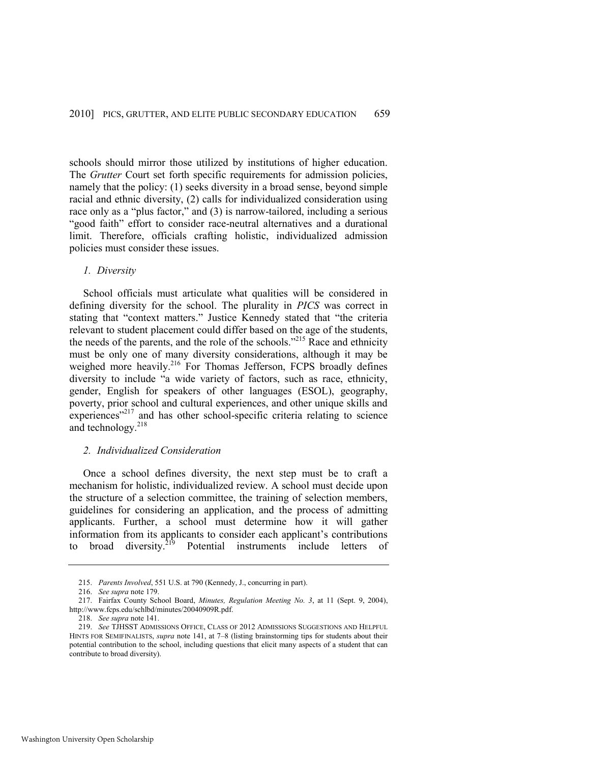schools should mirror those utilized by institutions of higher education. The *Grutter* Court set forth specific requirements for admission policies, namely that the policy: (1) seeks diversity in a broad sense, beyond simple racial and ethnic diversity, (2) calls for individualized consideration using race only as a "plus factor," and  $(3)$  is narrow-tailored, including a serious "good faith" effort to consider race-neutral alternatives and a durational limit. Therefore, officials crafting holistic, individualized admission policies must consider these issues.

# *1. Diversity*

School officials must articulate what qualities will be considered in defining diversity for the school. The plurality in *PICS* was correct in stating that "context matters." Justice Kennedy stated that "the criteria relevant to student placement could differ based on the age of the students, the needs of the parents, and the role of the schools.<sup> $215$ </sup> Race and ethnicity must be only one of many diversity considerations, although it may be weighed more heavily.<sup>216</sup> For Thomas Jefferson, FCPS broadly defines diversity to include "a wide variety of factors, such as race, ethnicity, gender, English for speakers of other languages (ESOL), geography, poverty, prior school and cultural experiences, and other unique skills and experiences"<sup>217</sup> and has other school-specific criteria relating to science and technology.<sup>218</sup>

# *2. Individualized Consideration*

Once a school defines diversity, the next step must be to craft a mechanism for holistic, individualized review. A school must decide upon the structure of a selection committee, the training of selection members, guidelines for considering an application, and the process of admitting applicants. Further, a school must determine how it will gather information from its applicants to consider each applicant's contributions to broad diversity.<sup>219</sup> Potential instruments include letters of

<sup>215.</sup> *Parents Involved*, 551 U.S. at 790 (Kennedy, J., concurring in part).

<sup>216.</sup> *See supra* not[e 179.](#page-29-0) 

<sup>217.</sup> Fairfax County School Board, *Minutes, Regulation Meeting No. 3*, at 11 (Sept. 9, 2004), http://www.fcps.edu/schlbd/minutes/20040909R.pdf.

<sup>218.</sup> *See supra* not[e 141.](#page-23-4) 

<sup>219.</sup> *See* TJHSST ADMISSIONS OFFICE, CLASS OF 2012 ADMISSIONS SUGGESTIONS AND HELPFUL HINTS FOR SEMIFINALISTS, *supra* note [141,](#page-23-4) at 7–8 (listing brainstorming tips for students about their potential contribution to the school, including questions that elicit many aspects of a student that can contribute to broad diversity).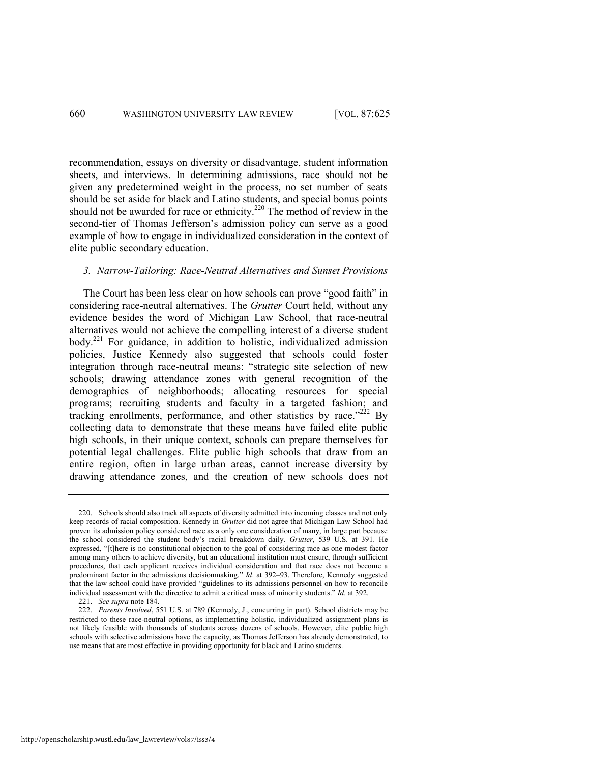recommendation, essays on diversity or disadvantage, student information sheets, and interviews. In determining admissions, race should not be given any predetermined weight in the process, no set number of seats should be set aside for black and Latino students, and special bonus points should not be awarded for race or ethnicity.<sup>220</sup> The method of review in the second-tier of Thomas Jefferson's admission policy can serve as a good example of how to engage in individualized consideration in the context of elite public secondary education.

### *3. Narrow-Tailoring: Race-Neutral Alternatives and Sunset Provisions*

The Court has been less clear on how schools can prove "good faith" in considering race-neutral alternatives. The *Grutter* Court held, without any evidence besides the word of Michigan Law School, that race-neutral alternatives would not achieve the compelling interest of a diverse student body.<sup>221</sup> For guidance, in addition to holistic, individualized admission policies, Justice Kennedy also suggested that schools could foster integration through race-neutral means: "strategic site selection of new schools; drawing attendance zones with general recognition of the demographics of neighborhoods; allocating resources for special programs; recruiting students and faculty in a targeted fashion; and tracking enrollments, performance, and other statistics by race.<sup> $222$ </sup> By collecting data to demonstrate that these means have failed elite public high schools, in their unique context, schools can prepare themselves for potential legal challenges. Elite public high schools that draw from an entire region, often in large urban areas, cannot increase diversity by drawing attendance zones, and the creation of new schools does not

221. *See supra* not[e 184.](#page-30-2) 

<sup>220.</sup> Schools should also track all aspects of diversity admitted into incoming classes and not only keep records of racial composition. Kennedy in *Grutter* did not agree that Michigan Law School had proven its admission policy considered race as a only one consideration of many, in large part because the school considered the student body's racial breakdown daily. *Grutter*, 539 U.S. at 391. He expressed, "[t]here is no constitutional objection to the goal of considering race as one modest factor among many others to achieve diversity, but an educational institution must ensure, through sufficient procedures, that each applicant receives individual consideration and that race does not become a predominant factor in the admissions decisionmaking." *Id.* at 392–93. Therefore, Kennedy suggested that the law school could have provided "guidelines to its admissions personnel on how to reconcile individual assessment with the directive to admit a critical mass of minority students." *Id.* at 392.

<sup>222.</sup> *Parents Involved*, 551 U.S. at 789 (Kennedy, J., concurring in part). School districts may be restricted to these race-neutral options, as implementing holistic, individualized assignment plans is not likely feasible with thousands of students across dozens of schools. However, elite public high schools with selective admissions have the capacity, as Thomas Jefferson has already demonstrated, to use means that are most effective in providing opportunity for black and Latino students.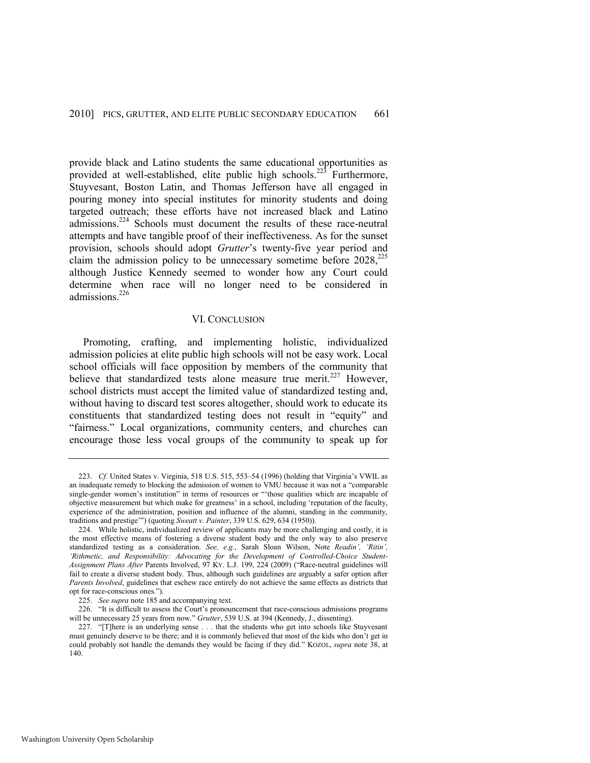provide black and Latino students the same educational opportunities as provided at well-established, elite public high schools.<sup>223</sup> Furthermore, Stuyvesant, Boston Latin, and Thomas Jefferson have all engaged in pouring money into special institutes for minority students and doing targeted outreach; these efforts have not increased black and Latino admissions.<sup>224</sup> Schools must document the results of these race-neutral attempts and have tangible proof of their ineffectiveness. As for the sunset provision, schools should adopt *Grutter*'s twenty-five year period and claim the admission policy to be unnecessary sometime before  $2028$ ,  $225$ although Justice Kennedy seemed to wonder how any Court could determine when race will no longer need to be considered in admissions.<sup>226</sup>

#### VI. CONCLUSION

Promoting, crafting, and implementing holistic, individualized admission policies at elite public high schools will not be easy work. Local school officials will face opposition by members of the community that believe that standardized tests alone measure true merit.<sup>227</sup> However, school districts must accept the limited value of standardized testing and, without having to discard test scores altogether, should work to educate its constituents that standardized testing does not result in "equity" and ―fairness.‖ Local organizations, community centers, and churches can encourage those less vocal groups of the community to speak up for

<sup>223.</sup> *Cf.* United States v. Virginia, 518 U.S. 515, 553–54 (1996) (holding that Virginia's VWIL as an inadequate remedy to blocking the admission of women to VMU because it was not a "comparable single-gender women's institution" in terms of resources or "those qualities which are incapable of objective measurement but which make for greatness' in a school, including 'reputation of the faculty, experience of the administration, position and influence of the alumni, standing in the community, traditions and prestige"") (quoting *Sweatt v. Painter*, 339 U.S. 629, 634 (1950)).

<sup>224.</sup> While holistic, individualized review of applicants may be more challenging and costly, it is the most effective means of fostering a diverse student body and the only way to also preserve standardized testing as a consideration. *See, e.g.*, Sarah Sloan Wilson, Note *Readin', 'Ritin', 'Rithmetic, and Responsibility: Advocating for the Development of Controlled-Choice Student-Assignment Plans After Parents Involved, 97 Ky. L.J. 199, 224 (2009)* ("Race-neutral guidelines will fail to create a diverse student body. Thus, although such guidelines are arguably a safer option after *Parents Involved*, guidelines that eschew race entirely do not achieve the same effects as districts that opt for race-conscious ones.").

<sup>225.</sup> *See supra* not[e 185 a](#page-30-3)nd accompanying text.

<sup>226. &</sup>quot;It is difficult to assess the Court's pronouncement that race-conscious admissions programs will be unnecessary 25 years from now." *Grutter*, 539 U.S. at 394 (Kennedy, J., dissenting).

<sup>227. &</sup>quot;[T]here is an underlying sense . . . that the students who get into schools like Stuyvesant must genuinely deserve to be there; and it is commonly believed that most of the kids who don't get in could probably not handle the demands they would be facing if they did." KOZOL, *supra* note [38,](#page-8-0) at 140.